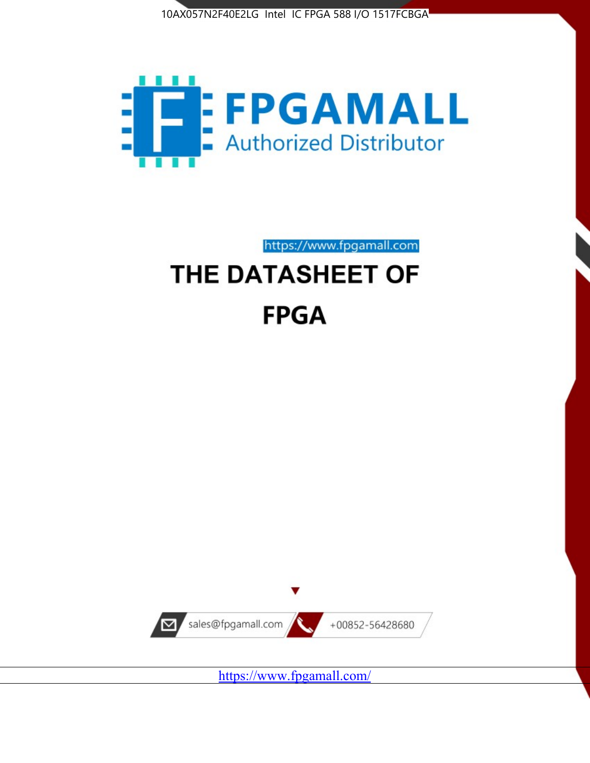



https://www.fpgamall.com

# THE DATASHEET OF **FPGA**



<https://www.fpgamall.com/>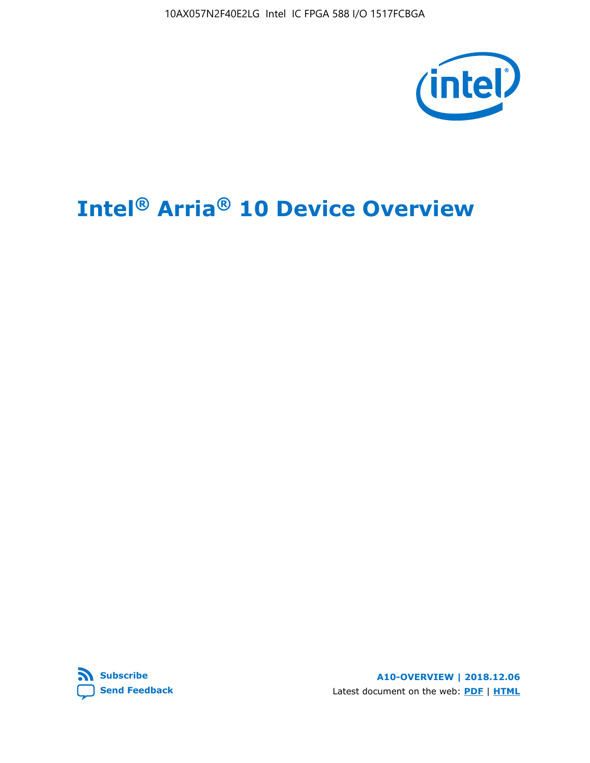10AX057N2F40E2LG Intel IC FPGA 588 I/O 1517FCBGA



# **Intel® Arria® 10 Device Overview**



**A10-OVERVIEW | 2018.12.06** Latest document on the web: **[PDF](https://www.intel.com/content/dam/www/programmable/us/en/pdfs/literature/hb/arria-10/a10_overview.pdf)** | **[HTML](https://www.intel.com/content/www/us/en/programmable/documentation/sam1403480274650.html)**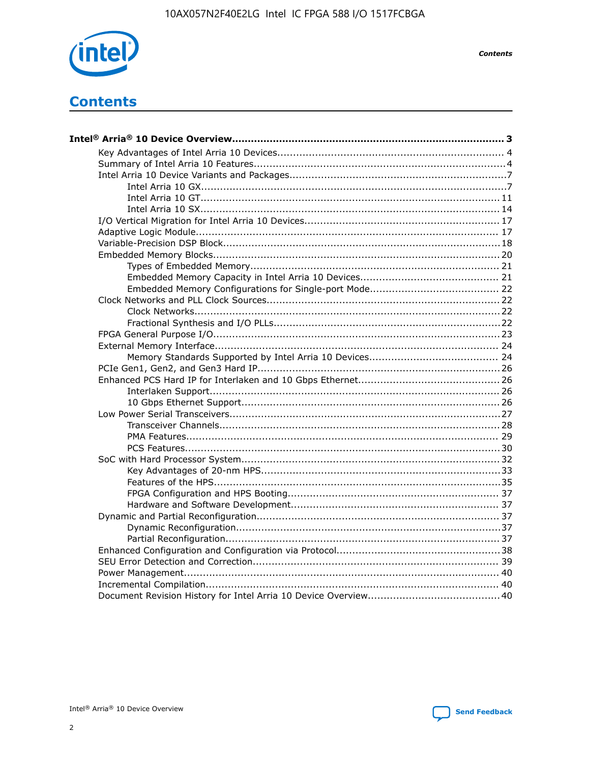

**Contents** 

# **Contents**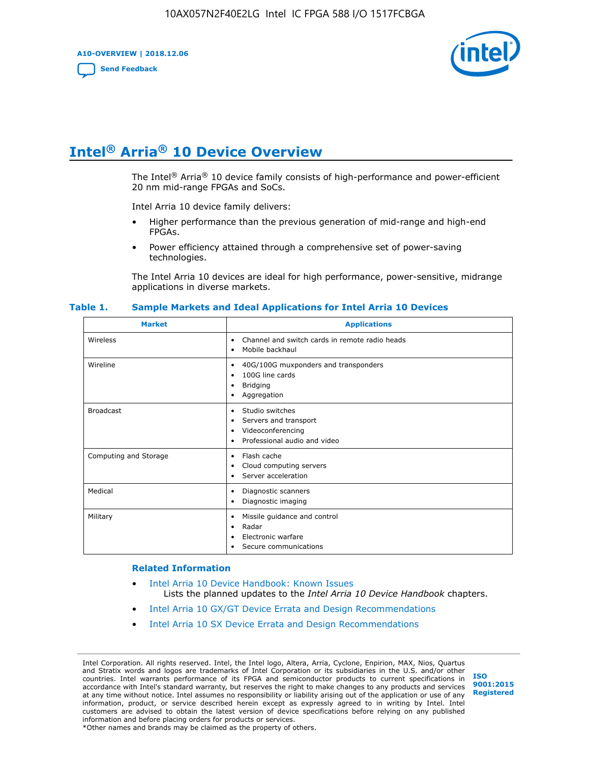**A10-OVERVIEW | 2018.12.06**

**[Send Feedback](mailto:FPGAtechdocfeedback@intel.com?subject=Feedback%20on%20Intel%20Arria%2010%20Device%20Overview%20(A10-OVERVIEW%202018.12.06)&body=We%20appreciate%20your%20feedback.%20In%20your%20comments,%20also%20specify%20the%20page%20number%20or%20paragraph.%20Thank%20you.)**



# **Intel® Arria® 10 Device Overview**

The Intel<sup>®</sup> Arria<sup>®</sup> 10 device family consists of high-performance and power-efficient 20 nm mid-range FPGAs and SoCs.

Intel Arria 10 device family delivers:

- Higher performance than the previous generation of mid-range and high-end FPGAs.
- Power efficiency attained through a comprehensive set of power-saving technologies.

The Intel Arria 10 devices are ideal for high performance, power-sensitive, midrange applications in diverse markets.

| <b>Market</b>         | <b>Applications</b>                                                                                               |
|-----------------------|-------------------------------------------------------------------------------------------------------------------|
| Wireless              | Channel and switch cards in remote radio heads<br>٠<br>Mobile backhaul<br>٠                                       |
| Wireline              | 40G/100G muxponders and transponders<br>٠<br>100G line cards<br>٠<br><b>Bridging</b><br>٠<br>Aggregation<br>٠     |
| <b>Broadcast</b>      | Studio switches<br>٠<br>Servers and transport<br>٠<br>Videoconferencing<br>٠<br>Professional audio and video<br>٠ |
| Computing and Storage | Flash cache<br>٠<br>Cloud computing servers<br>٠<br>Server acceleration<br>٠                                      |
| Medical               | Diagnostic scanners<br>٠<br>Diagnostic imaging<br>٠                                                               |
| Military              | Missile guidance and control<br>٠<br>Radar<br>٠<br>Electronic warfare<br>٠<br>Secure communications<br>٠          |

#### **Table 1. Sample Markets and Ideal Applications for Intel Arria 10 Devices**

#### **Related Information**

- [Intel Arria 10 Device Handbook: Known Issues](http://www.altera.com/support/kdb/solutions/rd07302013_646.html) Lists the planned updates to the *Intel Arria 10 Device Handbook* chapters.
- [Intel Arria 10 GX/GT Device Errata and Design Recommendations](https://www.intel.com/content/www/us/en/programmable/documentation/agz1493851706374.html#yqz1494433888646)
- [Intel Arria 10 SX Device Errata and Design Recommendations](https://www.intel.com/content/www/us/en/programmable/documentation/cru1462832385668.html#cru1462832558642)

Intel Corporation. All rights reserved. Intel, the Intel logo, Altera, Arria, Cyclone, Enpirion, MAX, Nios, Quartus and Stratix words and logos are trademarks of Intel Corporation or its subsidiaries in the U.S. and/or other countries. Intel warrants performance of its FPGA and semiconductor products to current specifications in accordance with Intel's standard warranty, but reserves the right to make changes to any products and services at any time without notice. Intel assumes no responsibility or liability arising out of the application or use of any information, product, or service described herein except as expressly agreed to in writing by Intel. Intel customers are advised to obtain the latest version of device specifications before relying on any published information and before placing orders for products or services. \*Other names and brands may be claimed as the property of others.

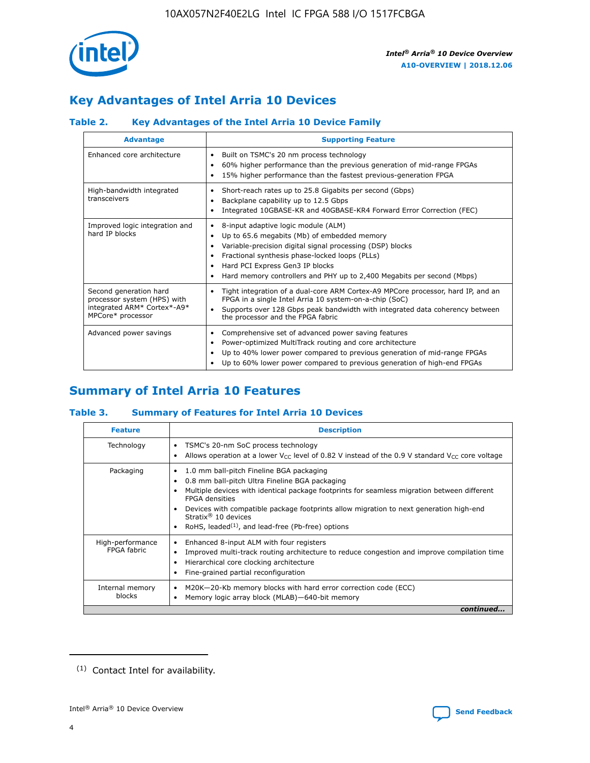

# **Key Advantages of Intel Arria 10 Devices**

# **Table 2. Key Advantages of the Intel Arria 10 Device Family**

| <b>Advantage</b>                                                                                          | <b>Supporting Feature</b>                                                                                                                                                                                                                                                                                                |
|-----------------------------------------------------------------------------------------------------------|--------------------------------------------------------------------------------------------------------------------------------------------------------------------------------------------------------------------------------------------------------------------------------------------------------------------------|
| Enhanced core architecture                                                                                | Built on TSMC's 20 nm process technology<br>٠<br>60% higher performance than the previous generation of mid-range FPGAs<br>٠<br>15% higher performance than the fastest previous-generation FPGA<br>٠                                                                                                                    |
| High-bandwidth integrated<br>transceivers                                                                 | Short-reach rates up to 25.8 Gigabits per second (Gbps)<br>٠<br>Backplane capability up to 12.5 Gbps<br>٠<br>Integrated 10GBASE-KR and 40GBASE-KR4 Forward Error Correction (FEC)<br>٠                                                                                                                                   |
| Improved logic integration and<br>hard IP blocks                                                          | 8-input adaptive logic module (ALM)<br>٠<br>Up to 65.6 megabits (Mb) of embedded memory<br>٠<br>Variable-precision digital signal processing (DSP) blocks<br>Fractional synthesis phase-locked loops (PLLs)<br>Hard PCI Express Gen3 IP blocks<br>Hard memory controllers and PHY up to 2,400 Megabits per second (Mbps) |
| Second generation hard<br>processor system (HPS) with<br>integrated ARM* Cortex*-A9*<br>MPCore* processor | Tight integration of a dual-core ARM Cortex-A9 MPCore processor, hard IP, and an<br>٠<br>FPGA in a single Intel Arria 10 system-on-a-chip (SoC)<br>Supports over 128 Gbps peak bandwidth with integrated data coherency between<br>$\bullet$<br>the processor and the FPGA fabric                                        |
| Advanced power savings                                                                                    | Comprehensive set of advanced power saving features<br>٠<br>Power-optimized MultiTrack routing and core architecture<br>٠<br>Up to 40% lower power compared to previous generation of mid-range FPGAs<br>٠<br>Up to 60% lower power compared to previous generation of high-end FPGAs                                    |

# **Summary of Intel Arria 10 Features**

## **Table 3. Summary of Features for Intel Arria 10 Devices**

| <b>Feature</b>                  | <b>Description</b>                                                                                                                                                                                                                                                                                                                                                                                       |
|---------------------------------|----------------------------------------------------------------------------------------------------------------------------------------------------------------------------------------------------------------------------------------------------------------------------------------------------------------------------------------------------------------------------------------------------------|
| Technology                      | TSMC's 20-nm SoC process technology<br>٠<br>Allows operation at a lower $V_{\text{CC}}$ level of 0.82 V instead of the 0.9 V standard $V_{\text{CC}}$ core voltage                                                                                                                                                                                                                                       |
| Packaging                       | 1.0 mm ball-pitch Fineline BGA packaging<br>0.8 mm ball-pitch Ultra Fineline BGA packaging<br>Multiple devices with identical package footprints for seamless migration between different<br><b>FPGA</b> densities<br>Devices with compatible package footprints allow migration to next generation high-end<br>Stratix $\mathcal{R}$ 10 devices<br>RoHS, leaded $(1)$ , and lead-free (Pb-free) options |
| High-performance<br>FPGA fabric | Enhanced 8-input ALM with four registers<br>٠<br>Improved multi-track routing architecture to reduce congestion and improve compilation time<br>Hierarchical core clocking architecture<br>Fine-grained partial reconfiguration                                                                                                                                                                          |
| Internal memory<br>blocks       | M20K-20-Kb memory blocks with hard error correction code (ECC)<br>Memory logic array block (MLAB)-640-bit memory                                                                                                                                                                                                                                                                                         |
|                                 | continued                                                                                                                                                                                                                                                                                                                                                                                                |



<sup>(1)</sup> Contact Intel for availability.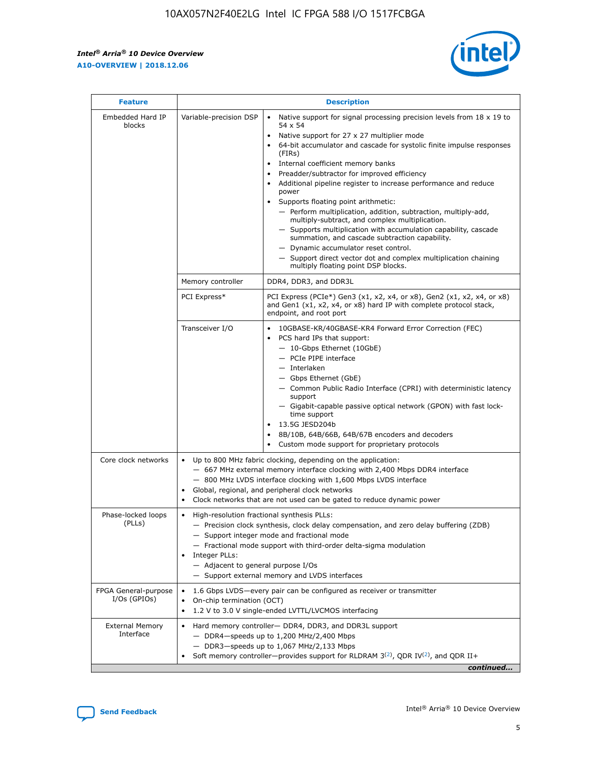$\mathsf{r}$ 



| <b>Feature</b>                         |                                                                                                                | <b>Description</b>                                                                                                                                                                                                                                                                                                                                                                                                                                                                                                                                                                                                                                                                                                                                                                                                                          |
|----------------------------------------|----------------------------------------------------------------------------------------------------------------|---------------------------------------------------------------------------------------------------------------------------------------------------------------------------------------------------------------------------------------------------------------------------------------------------------------------------------------------------------------------------------------------------------------------------------------------------------------------------------------------------------------------------------------------------------------------------------------------------------------------------------------------------------------------------------------------------------------------------------------------------------------------------------------------------------------------------------------------|
| Embedded Hard IP<br>blocks             | Variable-precision DSP                                                                                         | Native support for signal processing precision levels from $18 \times 19$ to<br>$\bullet$<br>54 x 54<br>Native support for 27 x 27 multiplier mode<br>64-bit accumulator and cascade for systolic finite impulse responses<br>(FIRs)<br>Internal coefficient memory banks<br>٠<br>Preadder/subtractor for improved efficiency<br>Additional pipeline register to increase performance and reduce<br>power<br>Supports floating point arithmetic:<br>- Perform multiplication, addition, subtraction, multiply-add,<br>multiply-subtract, and complex multiplication.<br>- Supports multiplication with accumulation capability, cascade<br>summation, and cascade subtraction capability.<br>- Dynamic accumulator reset control.<br>- Support direct vector dot and complex multiplication chaining<br>multiply floating point DSP blocks. |
|                                        | Memory controller                                                                                              | DDR4, DDR3, and DDR3L                                                                                                                                                                                                                                                                                                                                                                                                                                                                                                                                                                                                                                                                                                                                                                                                                       |
|                                        | PCI Express*                                                                                                   | PCI Express (PCIe*) Gen3 (x1, x2, x4, or x8), Gen2 (x1, x2, x4, or x8)<br>and Gen1 (x1, x2, x4, or x8) hard IP with complete protocol stack,<br>endpoint, and root port                                                                                                                                                                                                                                                                                                                                                                                                                                                                                                                                                                                                                                                                     |
|                                        | Transceiver I/O                                                                                                | 10GBASE-KR/40GBASE-KR4 Forward Error Correction (FEC)<br>PCS hard IPs that support:<br>- 10-Gbps Ethernet (10GbE)<br>- PCIe PIPE interface<br>- Interlaken<br>- Gbps Ethernet (GbE)<br>- Common Public Radio Interface (CPRI) with deterministic latency<br>support<br>- Gigabit-capable passive optical network (GPON) with fast lock-<br>time support<br>13.5G JESD204b<br>$\bullet$<br>8B/10B, 64B/66B, 64B/67B encoders and decoders<br>Custom mode support for proprietary protocols                                                                                                                                                                                                                                                                                                                                                   |
| Core clock networks                    | $\bullet$<br>$\bullet$                                                                                         | Up to 800 MHz fabric clocking, depending on the application:<br>- 667 MHz external memory interface clocking with 2,400 Mbps DDR4 interface<br>- 800 MHz LVDS interface clocking with 1,600 Mbps LVDS interface<br>Global, regional, and peripheral clock networks<br>Clock networks that are not used can be gated to reduce dynamic power                                                                                                                                                                                                                                                                                                                                                                                                                                                                                                 |
| Phase-locked loops<br>(PLLs)           | High-resolution fractional synthesis PLLs:<br>$\bullet$<br>Integer PLLs:<br>- Adjacent to general purpose I/Os | - Precision clock synthesis, clock delay compensation, and zero delay buffering (ZDB)<br>- Support integer mode and fractional mode<br>- Fractional mode support with third-order delta-sigma modulation<br>- Support external memory and LVDS interfaces                                                                                                                                                                                                                                                                                                                                                                                                                                                                                                                                                                                   |
| FPGA General-purpose<br>$I/Os$ (GPIOs) | On-chip termination (OCT)<br>$\bullet$                                                                         | 1.6 Gbps LVDS-every pair can be configured as receiver or transmitter<br>1.2 V to 3.0 V single-ended LVTTL/LVCMOS interfacing                                                                                                                                                                                                                                                                                                                                                                                                                                                                                                                                                                                                                                                                                                               |
| <b>External Memory</b><br>Interface    |                                                                                                                | Hard memory controller- DDR4, DDR3, and DDR3L support<br>$-$ DDR4-speeds up to 1,200 MHz/2,400 Mbps<br>- DDR3-speeds up to 1,067 MHz/2,133 Mbps<br>Soft memory controller—provides support for RLDRAM $3^{(2)}$ , QDR IV $(2^2)$ , and QDR II+<br>continued                                                                                                                                                                                                                                                                                                                                                                                                                                                                                                                                                                                 |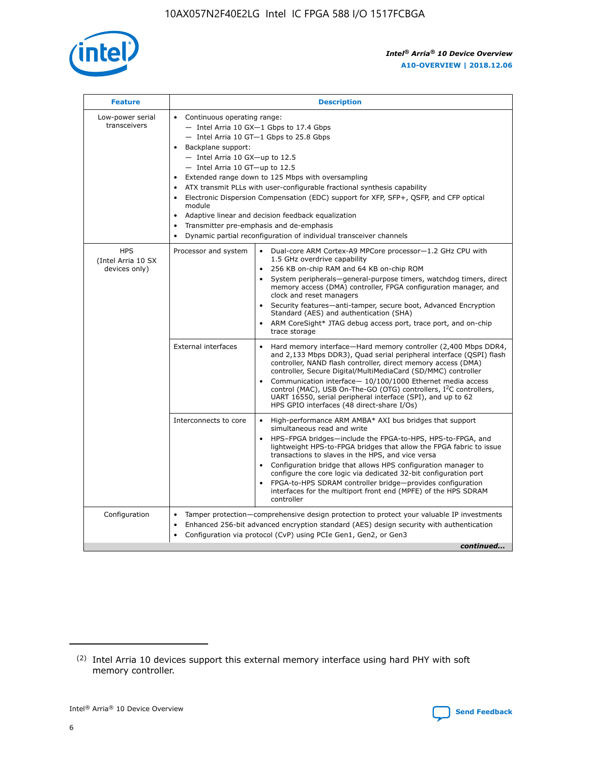

| <b>Feature</b>                                    | <b>Description</b>                                                                                                                                                                                                                                                                                                                                                                                                                                                                                                                                                                                                                                                        |
|---------------------------------------------------|---------------------------------------------------------------------------------------------------------------------------------------------------------------------------------------------------------------------------------------------------------------------------------------------------------------------------------------------------------------------------------------------------------------------------------------------------------------------------------------------------------------------------------------------------------------------------------------------------------------------------------------------------------------------------|
| Low-power serial<br>transceivers                  | • Continuous operating range:<br>- Intel Arria 10 GX-1 Gbps to 17.4 Gbps<br>$-$ Intel Arria 10 GT $-1$ Gbps to 25.8 Gbps<br>Backplane support:<br>$\bullet$<br>$-$ Intel Arria 10 GX-up to 12.5<br>$-$ Intel Arria 10 GT-up to 12.5<br>Extended range down to 125 Mbps with oversampling<br>ATX transmit PLLs with user-configurable fractional synthesis capability<br>Electronic Dispersion Compensation (EDC) support for XFP, SFP+, OSFP, and CFP optical<br>module<br>Adaptive linear and decision feedback equalization<br>$\bullet$<br>Transmitter pre-emphasis and de-emphasis<br>$\bullet$<br>Dynamic partial reconfiguration of individual transceiver channels |
| <b>HPS</b><br>(Intel Arria 10 SX<br>devices only) | Dual-core ARM Cortex-A9 MPCore processor-1.2 GHz CPU with<br>Processor and system<br>$\bullet$<br>1.5 GHz overdrive capability<br>256 KB on-chip RAM and 64 KB on-chip ROM<br>System peripherals-general-purpose timers, watchdog timers, direct<br>memory access (DMA) controller, FPGA configuration manager, and<br>clock and reset managers<br>• Security features—anti-tamper, secure boot, Advanced Encryption<br>Standard (AES) and authentication (SHA)<br>ARM CoreSight* JTAG debug access port, trace port, and on-chip<br>$\bullet$<br>trace storage                                                                                                           |
|                                                   | <b>External interfaces</b><br>Hard memory interface—Hard memory controller (2,400 Mbps DDR4,<br>and 2,133 Mbps DDR3), Quad serial peripheral interface (QSPI) flash<br>controller, NAND flash controller, direct memory access (DMA)<br>controller, Secure Digital/MultiMediaCard (SD/MMC) controller<br>Communication interface-10/100/1000 Ethernet media access<br>$\bullet$<br>control (MAC), USB On-The-GO (OTG) controllers, I <sup>2</sup> C controllers,<br>UART 16550, serial peripheral interface (SPI), and up to 62<br>HPS GPIO interfaces (48 direct-share I/Os)                                                                                             |
|                                                   | Interconnects to core<br>• High-performance ARM AMBA* AXI bus bridges that support<br>simultaneous read and write<br>HPS-FPGA bridges-include the FPGA-to-HPS, HPS-to-FPGA, and<br>$\bullet$<br>lightweight HPS-to-FPGA bridges that allow the FPGA fabric to issue<br>transactions to slaves in the HPS, and vice versa<br>Configuration bridge that allows HPS configuration manager to<br>configure the core logic via dedicated 32-bit configuration port<br>FPGA-to-HPS SDRAM controller bridge-provides configuration<br>interfaces for the multiport front end (MPFE) of the HPS SDRAM<br>controller                                                               |
| Configuration                                     | Tamper protection—comprehensive design protection to protect your valuable IP investments<br>Enhanced 256-bit advanced encryption standard (AES) design security with authentication<br>$\bullet$<br>Configuration via protocol (CvP) using PCIe Gen1, Gen2, or Gen3<br>continued                                                                                                                                                                                                                                                                                                                                                                                         |

<sup>(2)</sup> Intel Arria 10 devices support this external memory interface using hard PHY with soft memory controller.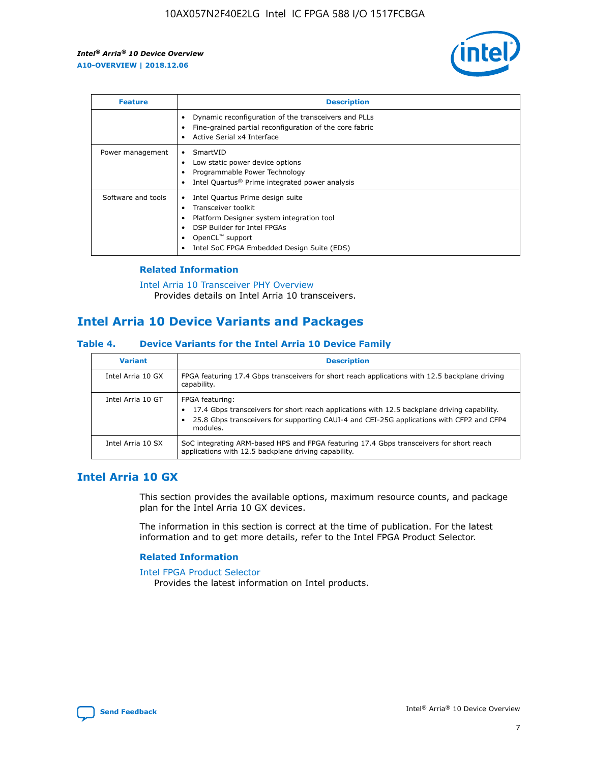

| <b>Feature</b>     | <b>Description</b>                                                                                                                                                                                               |
|--------------------|------------------------------------------------------------------------------------------------------------------------------------------------------------------------------------------------------------------|
|                    | Dynamic reconfiguration of the transceivers and PLLs<br>Fine-grained partial reconfiguration of the core fabric<br>Active Serial x4 Interface<br>$\bullet$                                                       |
| Power management   | SmartVID<br>Low static power device options<br>Programmable Power Technology<br>Intel Quartus <sup>®</sup> Prime integrated power analysis                                                                       |
| Software and tools | Intel Quartus Prime design suite<br>Transceiver toolkit<br>Platform Designer system integration tool<br>DSP Builder for Intel FPGAs<br>OpenCL <sup>™</sup> support<br>Intel SoC FPGA Embedded Design Suite (EDS) |

## **Related Information**

[Intel Arria 10 Transceiver PHY Overview](https://www.intel.com/content/www/us/en/programmable/documentation/nik1398707230472.html#nik1398706768037) Provides details on Intel Arria 10 transceivers.

# **Intel Arria 10 Device Variants and Packages**

#### **Table 4. Device Variants for the Intel Arria 10 Device Family**

| <b>Variant</b>    | <b>Description</b>                                                                                                                                                                                                     |
|-------------------|------------------------------------------------------------------------------------------------------------------------------------------------------------------------------------------------------------------------|
| Intel Arria 10 GX | FPGA featuring 17.4 Gbps transceivers for short reach applications with 12.5 backplane driving<br>capability.                                                                                                          |
| Intel Arria 10 GT | FPGA featuring:<br>17.4 Gbps transceivers for short reach applications with 12.5 backplane driving capability.<br>25.8 Gbps transceivers for supporting CAUI-4 and CEI-25G applications with CFP2 and CFP4<br>modules. |
| Intel Arria 10 SX | SoC integrating ARM-based HPS and FPGA featuring 17.4 Gbps transceivers for short reach<br>applications with 12.5 backplane driving capability.                                                                        |

# **Intel Arria 10 GX**

This section provides the available options, maximum resource counts, and package plan for the Intel Arria 10 GX devices.

The information in this section is correct at the time of publication. For the latest information and to get more details, refer to the Intel FPGA Product Selector.

#### **Related Information**

#### [Intel FPGA Product Selector](http://www.altera.com/products/selector/psg-selector.html) Provides the latest information on Intel products.

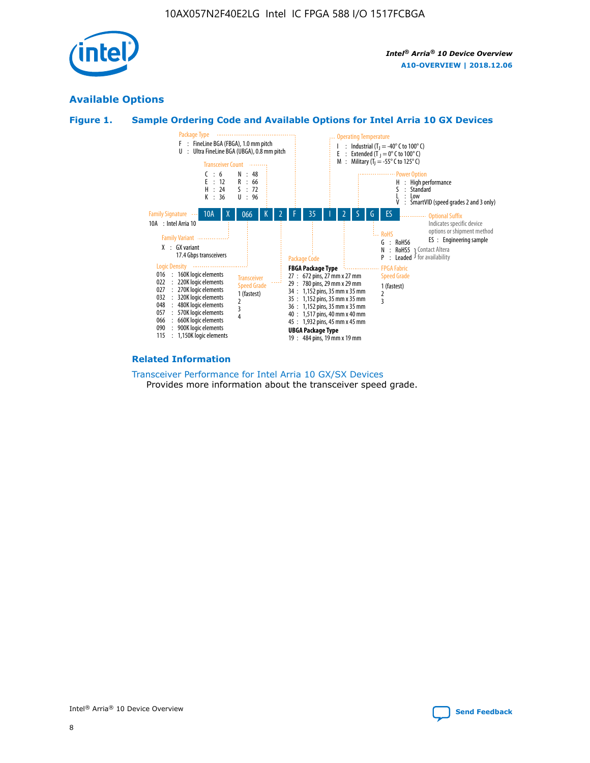

# **Available Options**





#### **Related Information**

[Transceiver Performance for Intel Arria 10 GX/SX Devices](https://www.intel.com/content/www/us/en/programmable/documentation/mcn1413182292568.html#mcn1413213965502) Provides more information about the transceiver speed grade.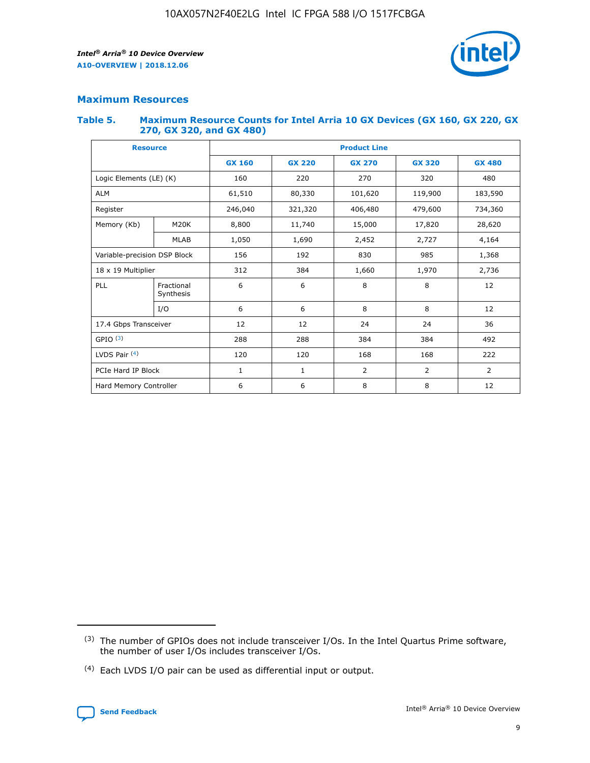

## **Maximum Resources**

#### **Table 5. Maximum Resource Counts for Intel Arria 10 GX Devices (GX 160, GX 220, GX 270, GX 320, and GX 480)**

| <b>Resource</b>              |                         | <b>Product Line</b> |                                                 |                    |                |                |  |  |
|------------------------------|-------------------------|---------------------|-------------------------------------------------|--------------------|----------------|----------------|--|--|
|                              |                         | <b>GX 160</b>       | <b>GX 220</b><br><b>GX 270</b><br><b>GX 320</b> |                    |                | <b>GX 480</b>  |  |  |
| Logic Elements (LE) (K)      |                         | 160                 | 220                                             | 270                | 320            | 480            |  |  |
| <b>ALM</b>                   |                         | 61,510              | 80,330                                          | 101,620            | 119,900        | 183,590        |  |  |
| Register                     |                         | 246,040             | 321,320                                         | 406,480<br>479,600 |                | 734,360        |  |  |
| Memory (Kb)                  | M <sub>20</sub> K       | 8,800               | 11,740                                          | 15,000             | 17,820         | 28,620         |  |  |
|                              | <b>MLAB</b>             | 1,050               | 1,690                                           | 2,452              | 2,727          | 4,164          |  |  |
| Variable-precision DSP Block |                         | 156                 | 192                                             | 830                | 985            | 1,368          |  |  |
|                              | 18 x 19 Multiplier      |                     | 384                                             | 1,970<br>1,660     |                | 2,736          |  |  |
| PLL                          | Fractional<br>Synthesis | 6                   | 6                                               | 8                  | 8              | 12             |  |  |
|                              | I/O                     | 6                   | 6                                               | 8                  | 8              | 12             |  |  |
| 17.4 Gbps Transceiver        |                         | 12                  | 12                                              | 24                 | 24             | 36             |  |  |
| GPIO <sup>(3)</sup>          |                         | 288                 | 288                                             | 384                | 384            |                |  |  |
| LVDS Pair $(4)$              |                         | 120                 | 120                                             | 168                | 168            | 222            |  |  |
| PCIe Hard IP Block           |                         | 1                   | 1                                               | 2                  | $\overline{2}$ | $\overline{2}$ |  |  |
| Hard Memory Controller       |                         | 6                   | 6                                               | 8                  | 8              | 12             |  |  |

<sup>(4)</sup> Each LVDS I/O pair can be used as differential input or output.



<sup>(3)</sup> The number of GPIOs does not include transceiver I/Os. In the Intel Quartus Prime software, the number of user I/Os includes transceiver I/Os.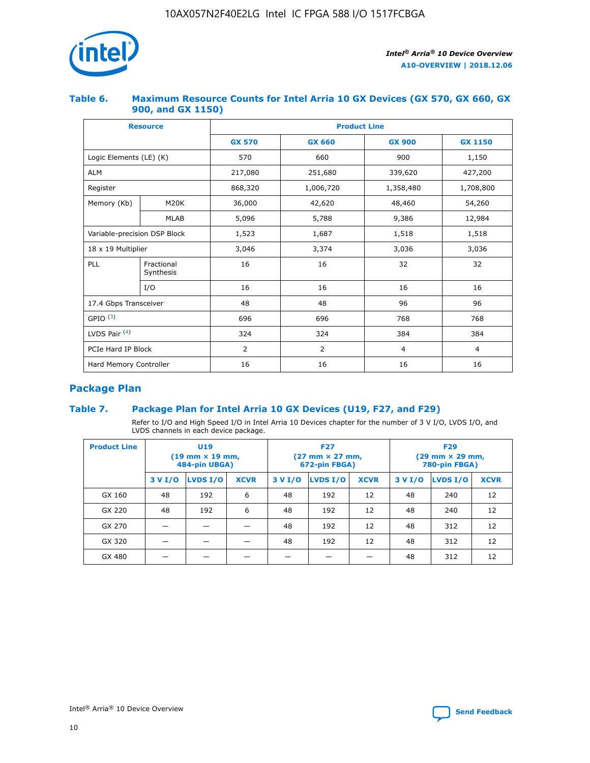

## **Table 6. Maximum Resource Counts for Intel Arria 10 GX Devices (GX 570, GX 660, GX 900, and GX 1150)**

|                              | <b>Resource</b>         | <b>Product Line</b> |                        |                |                |  |  |  |
|------------------------------|-------------------------|---------------------|------------------------|----------------|----------------|--|--|--|
|                              |                         | <b>GX 570</b>       | <b>GX 660</b>          | <b>GX 900</b>  | <b>GX 1150</b> |  |  |  |
| Logic Elements (LE) (K)      |                         | 570                 | 660                    | 900            | 1,150          |  |  |  |
| <b>ALM</b>                   |                         | 217,080             | 251,680                | 339,620        | 427,200        |  |  |  |
| Register                     |                         | 868,320             | 1,006,720<br>1,358,480 |                | 1,708,800      |  |  |  |
| Memory (Kb)                  | <b>M20K</b>             | 36,000              | 42,620                 | 48,460         | 54,260         |  |  |  |
|                              | <b>MLAB</b>             | 5,096               | 5,788                  | 9,386          | 12,984         |  |  |  |
| Variable-precision DSP Block |                         | 1,523               | 1,687                  | 1,518          | 1,518          |  |  |  |
| $18 \times 19$ Multiplier    |                         | 3,046               | 3,374                  | 3,036          | 3,036          |  |  |  |
| PLL                          | Fractional<br>Synthesis | 16                  | 16                     | 32             | 32             |  |  |  |
|                              | I/O                     | 16                  | 16                     | 16             | 16             |  |  |  |
| 17.4 Gbps Transceiver        |                         | 48                  | 48<br>96               |                | 96             |  |  |  |
| GPIO <sup>(3)</sup>          |                         | 696                 | 696                    | 768            | 768            |  |  |  |
| LVDS Pair $(4)$              |                         | 324                 | 324                    | 384            | 384            |  |  |  |
| PCIe Hard IP Block           |                         | 2                   | $\overline{2}$         | $\overline{4}$ | 4              |  |  |  |
| Hard Memory Controller       |                         | 16                  | 16                     | 16             | 16             |  |  |  |

# **Package Plan**

## **Table 7. Package Plan for Intel Arria 10 GX Devices (U19, F27, and F29)**

Refer to I/O and High Speed I/O in Intel Arria 10 Devices chapter for the number of 3 V I/O, LVDS I/O, and LVDS channels in each device package.

| <b>Product Line</b> | U <sub>19</sub><br>$(19 \text{ mm} \times 19 \text{ mm})$<br>484-pin UBGA) |          |             |         | <b>F27</b><br>(27 mm × 27 mm,<br>672-pin FBGA) |             | <b>F29</b><br>(29 mm × 29 mm,<br>780-pin FBGA) |          |             |  |
|---------------------|----------------------------------------------------------------------------|----------|-------------|---------|------------------------------------------------|-------------|------------------------------------------------|----------|-------------|--|
|                     | 3 V I/O                                                                    | LVDS I/O | <b>XCVR</b> | 3 V I/O | LVDS I/O                                       | <b>XCVR</b> | 3 V I/O                                        | LVDS I/O | <b>XCVR</b> |  |
| GX 160              | 48                                                                         | 192      | 6           | 48      | 192                                            | 12          | 48                                             | 240      | 12          |  |
| GX 220              | 48                                                                         | 192      | 6           | 48      | 192                                            | 12          | 48                                             | 240      | 12          |  |
| GX 270              |                                                                            |          |             | 48      | 192                                            | 12          | 48                                             | 312      | 12          |  |
| GX 320              |                                                                            |          |             | 48      | 192                                            | 12          | 48                                             | 312      | 12          |  |
| GX 480              |                                                                            |          |             |         |                                                |             | 48                                             | 312      | 12          |  |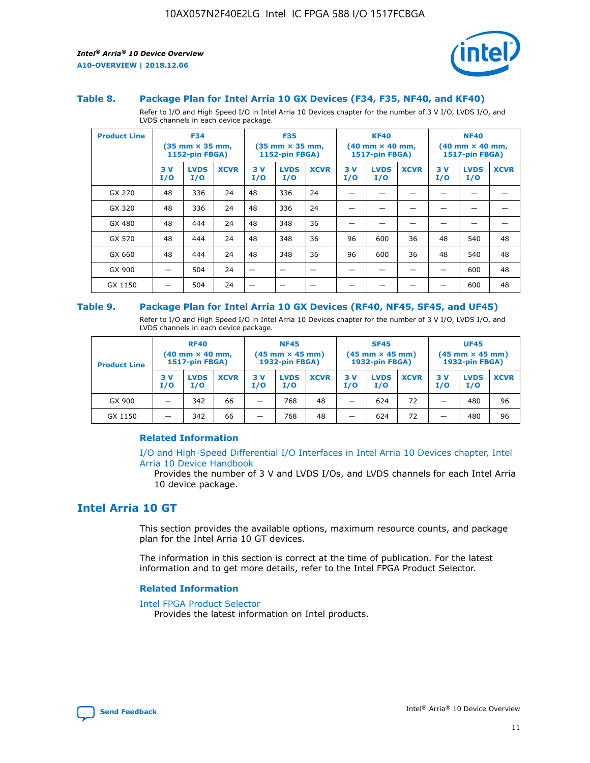

#### **Table 8. Package Plan for Intel Arria 10 GX Devices (F34, F35, NF40, and KF40)**

Refer to I/O and High Speed I/O in Intel Arria 10 Devices chapter for the number of 3 V I/O, LVDS I/O, and LVDS channels in each device package.

| <b>Product Line</b> | <b>F34</b><br>$(35 \text{ mm} \times 35 \text{ mm})$<br><b>1152-pin FBGA)</b> |                    | <b>F35</b><br>$(35 \text{ mm} \times 35 \text{ mm})$<br><b>1152-pin FBGA)</b> |           | <b>KF40</b><br>$(40$ mm $\times$ 40 mm,<br><b>1517-pin FBGA)</b> |             |           | <b>NF40</b><br>$(40 \text{ mm} \times 40 \text{ mm})$<br>1517-pin FBGA) |             |           |                    |             |
|---------------------|-------------------------------------------------------------------------------|--------------------|-------------------------------------------------------------------------------|-----------|------------------------------------------------------------------|-------------|-----------|-------------------------------------------------------------------------|-------------|-----------|--------------------|-------------|
|                     | 3V<br>I/O                                                                     | <b>LVDS</b><br>I/O | <b>XCVR</b>                                                                   | 3V<br>I/O | <b>LVDS</b><br>I/O                                               | <b>XCVR</b> | 3V<br>I/O | <b>LVDS</b><br>I/O                                                      | <b>XCVR</b> | 3V<br>I/O | <b>LVDS</b><br>I/O | <b>XCVR</b> |
| GX 270              | 48                                                                            | 336                | 24                                                                            | 48        | 336                                                              | 24          |           |                                                                         |             |           |                    |             |
| GX 320              | 48                                                                            | 336                | 24                                                                            | 48        | 336                                                              | 24          |           |                                                                         |             |           |                    |             |
| GX 480              | 48                                                                            | 444                | 24                                                                            | 48        | 348                                                              | 36          |           |                                                                         |             |           |                    |             |
| GX 570              | 48                                                                            | 444                | 24                                                                            | 48        | 348                                                              | 36          | 96        | 600                                                                     | 36          | 48        | 540                | 48          |
| GX 660              | 48                                                                            | 444                | 24                                                                            | 48        | 348                                                              | 36          | 96        | 600                                                                     | 36          | 48        | 540                | 48          |
| GX 900              |                                                                               | 504                | 24                                                                            | –         |                                                                  | -           |           |                                                                         |             |           | 600                | 48          |
| GX 1150             |                                                                               | 504                | 24                                                                            |           |                                                                  |             |           |                                                                         |             |           | 600                | 48          |

#### **Table 9. Package Plan for Intel Arria 10 GX Devices (RF40, NF45, SF45, and UF45)**

Refer to I/O and High Speed I/O in Intel Arria 10 Devices chapter for the number of 3 V I/O, LVDS I/O, and LVDS channels in each device package.

| <b>Product Line</b> | <b>RF40</b><br>$(40$ mm $\times$ 40 mm,<br>1517-pin FBGA) |                    | <b>NF45</b><br>$(45 \text{ mm} \times 45 \text{ mm})$<br><b>1932-pin FBGA)</b> |            |                    | <b>SF45</b><br>$(45 \text{ mm} \times 45 \text{ mm})$<br><b>1932-pin FBGA)</b> |            |                    | <b>UF45</b><br>$(45 \text{ mm} \times 45 \text{ mm})$<br><b>1932-pin FBGA)</b> |           |                    |             |
|---------------------|-----------------------------------------------------------|--------------------|--------------------------------------------------------------------------------|------------|--------------------|--------------------------------------------------------------------------------|------------|--------------------|--------------------------------------------------------------------------------|-----------|--------------------|-------------|
|                     | 3V<br>I/O                                                 | <b>LVDS</b><br>I/O | <b>XCVR</b>                                                                    | 3 V<br>I/O | <b>LVDS</b><br>I/O | <b>XCVR</b>                                                                    | 3 V<br>I/O | <b>LVDS</b><br>I/O | <b>XCVR</b>                                                                    | 3V<br>I/O | <b>LVDS</b><br>I/O | <b>XCVR</b> |
| GX 900              |                                                           | 342                | 66                                                                             | _          | 768                | 48                                                                             |            | 624                | 72                                                                             |           | 480                | 96          |
| GX 1150             |                                                           | 342                | 66                                                                             | _          | 768                | 48                                                                             |            | 624                | 72                                                                             |           | 480                | 96          |

#### **Related Information**

[I/O and High-Speed Differential I/O Interfaces in Intel Arria 10 Devices chapter, Intel](https://www.intel.com/content/www/us/en/programmable/documentation/sam1403482614086.html#sam1403482030321) [Arria 10 Device Handbook](https://www.intel.com/content/www/us/en/programmable/documentation/sam1403482614086.html#sam1403482030321)

Provides the number of 3 V and LVDS I/Os, and LVDS channels for each Intel Arria 10 device package.

# **Intel Arria 10 GT**

This section provides the available options, maximum resource counts, and package plan for the Intel Arria 10 GT devices.

The information in this section is correct at the time of publication. For the latest information and to get more details, refer to the Intel FPGA Product Selector.

#### **Related Information**

#### [Intel FPGA Product Selector](http://www.altera.com/products/selector/psg-selector.html)

Provides the latest information on Intel products.

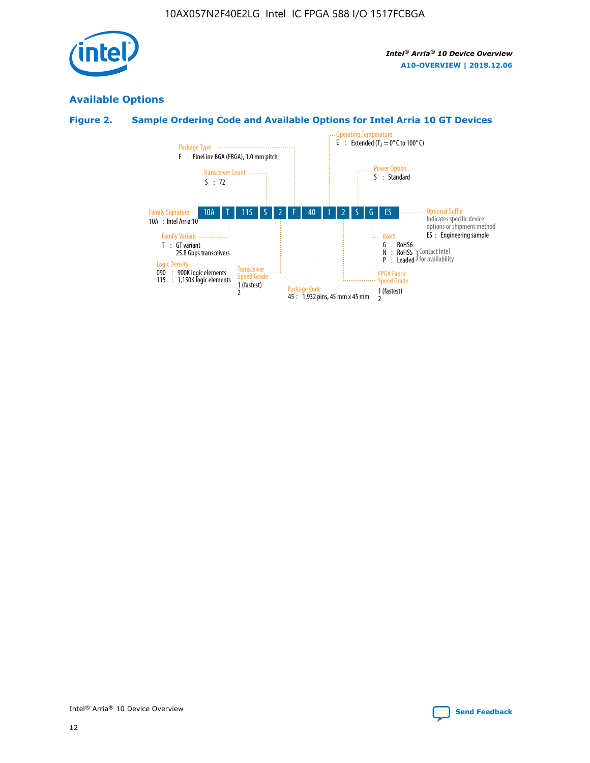

# **Available Options**

# **Figure 2. Sample Ordering Code and Available Options for Intel Arria 10 GT Devices**

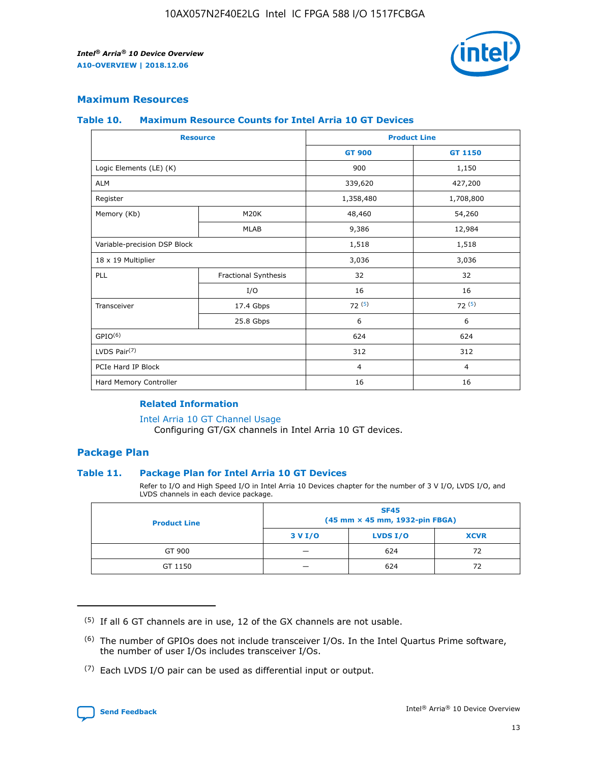

## **Maximum Resources**

#### **Table 10. Maximum Resource Counts for Intel Arria 10 GT Devices**

| <b>Resource</b>              |                      |                | <b>Product Line</b> |  |
|------------------------------|----------------------|----------------|---------------------|--|
|                              |                      | <b>GT 900</b>  | <b>GT 1150</b>      |  |
| Logic Elements (LE) (K)      |                      | 900            | 1,150               |  |
| <b>ALM</b>                   |                      | 339,620        | 427,200             |  |
| Register                     |                      | 1,358,480      | 1,708,800           |  |
| Memory (Kb)                  | M <sub>20</sub> K    | 48,460         | 54,260              |  |
|                              | <b>MLAB</b>          | 9,386          | 12,984              |  |
| Variable-precision DSP Block |                      | 1,518          | 1,518               |  |
| 18 x 19 Multiplier           |                      | 3,036          | 3,036               |  |
| PLL                          | Fractional Synthesis | 32             | 32                  |  |
|                              | I/O                  | 16             | 16                  |  |
| Transceiver                  | 17.4 Gbps            | 72(5)          | 72(5)               |  |
|                              | 25.8 Gbps            | 6              | 6                   |  |
| GPIO <sup>(6)</sup>          |                      | 624            | 624                 |  |
| LVDS Pair $(7)$              |                      | 312            | 312                 |  |
| PCIe Hard IP Block           |                      | $\overline{4}$ | $\overline{4}$      |  |
| Hard Memory Controller       |                      | 16             | 16                  |  |

#### **Related Information**

#### [Intel Arria 10 GT Channel Usage](https://www.intel.com/content/www/us/en/programmable/documentation/nik1398707230472.html#nik1398707008178)

Configuring GT/GX channels in Intel Arria 10 GT devices.

## **Package Plan**

#### **Table 11. Package Plan for Intel Arria 10 GT Devices**

Refer to I/O and High Speed I/O in Intel Arria 10 Devices chapter for the number of 3 V I/O, LVDS I/O, and LVDS channels in each device package.

| <b>Product Line</b> | <b>SF45</b><br>(45 mm × 45 mm, 1932-pin FBGA) |                 |             |  |  |  |
|---------------------|-----------------------------------------------|-----------------|-------------|--|--|--|
|                     | 3 V I/O                                       | <b>LVDS I/O</b> | <b>XCVR</b> |  |  |  |
| GT 900              |                                               | 624             | 72          |  |  |  |
| GT 1150             |                                               | 624             |             |  |  |  |

<sup>(7)</sup> Each LVDS I/O pair can be used as differential input or output.



 $(5)$  If all 6 GT channels are in use, 12 of the GX channels are not usable.

<sup>(6)</sup> The number of GPIOs does not include transceiver I/Os. In the Intel Quartus Prime software, the number of user I/Os includes transceiver I/Os.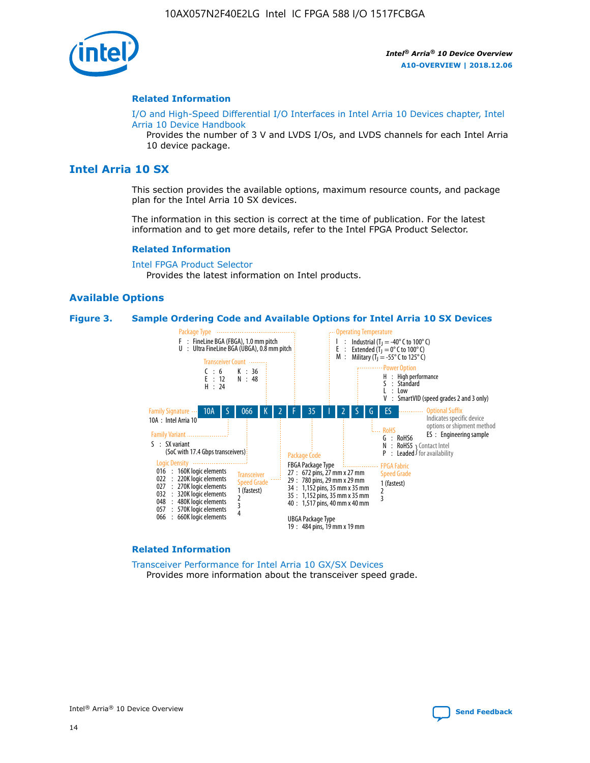

#### **Related Information**

[I/O and High-Speed Differential I/O Interfaces in Intel Arria 10 Devices chapter, Intel](https://www.intel.com/content/www/us/en/programmable/documentation/sam1403482614086.html#sam1403482030321) [Arria 10 Device Handbook](https://www.intel.com/content/www/us/en/programmable/documentation/sam1403482614086.html#sam1403482030321)

Provides the number of 3 V and LVDS I/Os, and LVDS channels for each Intel Arria 10 device package.

# **Intel Arria 10 SX**

This section provides the available options, maximum resource counts, and package plan for the Intel Arria 10 SX devices.

The information in this section is correct at the time of publication. For the latest information and to get more details, refer to the Intel FPGA Product Selector.

#### **Related Information**

[Intel FPGA Product Selector](http://www.altera.com/products/selector/psg-selector.html) Provides the latest information on Intel products.

#### **Available Options**

#### **Figure 3. Sample Ordering Code and Available Options for Intel Arria 10 SX Devices**



#### **Related Information**

[Transceiver Performance for Intel Arria 10 GX/SX Devices](https://www.intel.com/content/www/us/en/programmable/documentation/mcn1413182292568.html#mcn1413213965502) Provides more information about the transceiver speed grade.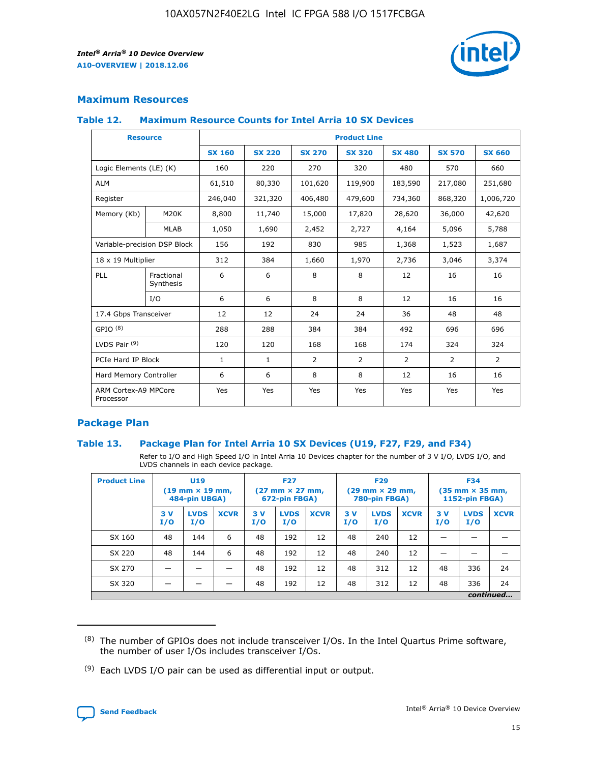

## **Maximum Resources**

#### **Table 12. Maximum Resource Counts for Intel Arria 10 SX Devices**

| <b>Resource</b>                   |                         | <b>Product Line</b> |               |                |                |                |                |                |  |  |  |
|-----------------------------------|-------------------------|---------------------|---------------|----------------|----------------|----------------|----------------|----------------|--|--|--|
|                                   |                         | <b>SX 160</b>       | <b>SX 220</b> | <b>SX 270</b>  | <b>SX 320</b>  | <b>SX 480</b>  | <b>SX 570</b>  | <b>SX 660</b>  |  |  |  |
| Logic Elements (LE) (K)           |                         | 160                 | 220           | 270            | 320            | 480            | 570            | 660            |  |  |  |
| <b>ALM</b>                        |                         | 61,510              | 80,330        | 101,620        | 119,900        | 183,590        | 217,080        | 251,680        |  |  |  |
| Register                          |                         | 246,040             | 321,320       | 406,480        | 479,600        | 734,360        | 868,320        | 1,006,720      |  |  |  |
| Memory (Kb)                       | <b>M20K</b>             | 8,800               | 11,740        | 15,000         | 17,820         | 28,620         | 36,000         | 42,620         |  |  |  |
|                                   | <b>MLAB</b>             | 1,050               | 1,690         | 2,452          | 2,727          | 4,164          | 5,096          | 5,788          |  |  |  |
| Variable-precision DSP Block      |                         | 156                 | 192           | 830            | 985            | 1,368          | 1,523          | 1,687          |  |  |  |
| 18 x 19 Multiplier                |                         | 312                 | 384           | 1,660          | 1,970          | 2,736          | 3,046          | 3,374          |  |  |  |
| PLL                               | Fractional<br>Synthesis | 6                   | 6             | 8              | 8              | 12             | 16             | 16             |  |  |  |
|                                   | I/O                     | 6                   | 6             | 8              | 8              | 12             | 16             | 16             |  |  |  |
| 17.4 Gbps Transceiver             |                         | 12                  | 12            | 24             | 24             | 36             | 48             | 48             |  |  |  |
| GPIO <sup>(8)</sup>               |                         | 288                 | 288           | 384            | 384            | 492            | 696            | 696            |  |  |  |
| LVDS Pair $(9)$                   |                         | 120                 | 120           | 168            | 168            | 174            | 324            | 324            |  |  |  |
| PCIe Hard IP Block                |                         | $\mathbf{1}$        | $\mathbf{1}$  | $\overline{2}$ | $\overline{2}$ | $\overline{2}$ | $\overline{2}$ | $\overline{2}$ |  |  |  |
| Hard Memory Controller            |                         | 6                   | 6             | 8              | 8              | 12             | 16             | 16             |  |  |  |
| ARM Cortex-A9 MPCore<br>Processor |                         | Yes                 | Yes           | Yes            | Yes            | Yes            | Yes            | <b>Yes</b>     |  |  |  |

## **Package Plan**

#### **Table 13. Package Plan for Intel Arria 10 SX Devices (U19, F27, F29, and F34)**

Refer to I/O and High Speed I/O in Intel Arria 10 Devices chapter for the number of 3 V I/O, LVDS I/O, and LVDS channels in each device package.

| <b>Product Line</b> | U19<br>$(19 \text{ mm} \times 19 \text{ mm})$<br>484-pin UBGA) |                    |             | <b>F27</b><br>$(27 \text{ mm} \times 27 \text{ mm})$<br>672-pin FBGA) |                    | <b>F29</b><br>$(29 \text{ mm} \times 29 \text{ mm})$<br>780-pin FBGA) |           |                    | <b>F34</b><br>$(35 \text{ mm} \times 35 \text{ mm})$<br><b>1152-pin FBGA)</b> |           |                    |             |
|---------------------|----------------------------------------------------------------|--------------------|-------------|-----------------------------------------------------------------------|--------------------|-----------------------------------------------------------------------|-----------|--------------------|-------------------------------------------------------------------------------|-----------|--------------------|-------------|
|                     | 3V<br>I/O                                                      | <b>LVDS</b><br>I/O | <b>XCVR</b> | 3V<br>I/O                                                             | <b>LVDS</b><br>I/O | <b>XCVR</b>                                                           | 3V<br>I/O | <b>LVDS</b><br>I/O | <b>XCVR</b>                                                                   | 3V<br>I/O | <b>LVDS</b><br>I/O | <b>XCVR</b> |
| SX 160              | 48                                                             | 144                | 6           | 48                                                                    | 192                | 12                                                                    | 48        | 240                | 12                                                                            |           |                    |             |
| SX 220              | 48                                                             | 144                | 6           | 48                                                                    | 192                | 12                                                                    | 48        | 240                | 12                                                                            |           |                    |             |
| SX 270              |                                                                |                    |             | 48                                                                    | 192                | 12                                                                    | 48        | 312                | 12                                                                            | 48        | 336                | 24          |
| SX 320              |                                                                |                    |             | 48                                                                    | 192                | 12                                                                    | 48        | 312                | 12                                                                            | 48        | 336                | 24          |
|                     | continued                                                      |                    |             |                                                                       |                    |                                                                       |           |                    |                                                                               |           |                    |             |

 $(8)$  The number of GPIOs does not include transceiver I/Os. In the Intel Quartus Prime software, the number of user I/Os includes transceiver I/Os.

 $(9)$  Each LVDS I/O pair can be used as differential input or output.

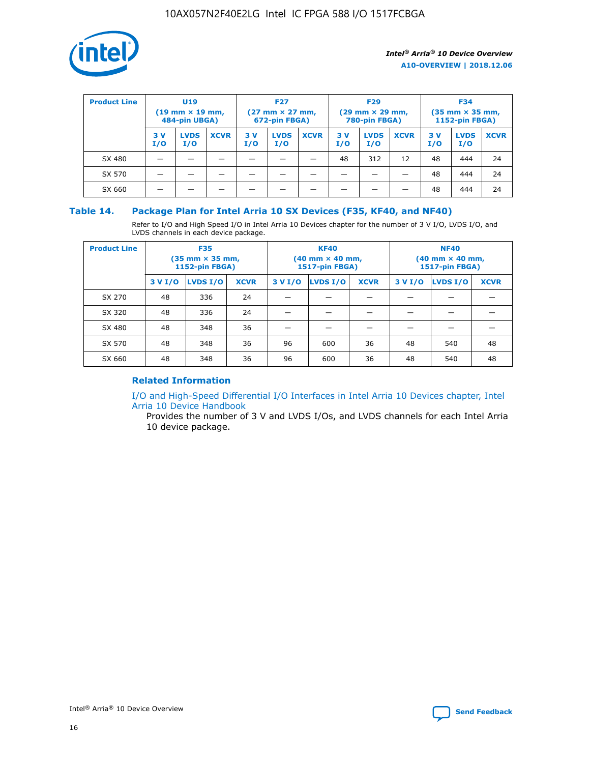

| <b>Product Line</b> | U <sub>19</sub><br>$(19 \text{ mm} \times 19 \text{ mm})$<br>484-pin UBGA) |                    | <b>F27</b><br>$(27 \text{ mm} \times 27 \text{ mm})$<br>672-pin FBGA) |            | <b>F29</b><br>$(29 \text{ mm} \times 29 \text{ mm})$<br>780-pin FBGA) |             |           | <b>F34</b><br>$(35$ mm $\times$ 35 mm,<br><b>1152-pin FBGA)</b> |             |           |                    |             |
|---------------------|----------------------------------------------------------------------------|--------------------|-----------------------------------------------------------------------|------------|-----------------------------------------------------------------------|-------------|-----------|-----------------------------------------------------------------|-------------|-----------|--------------------|-------------|
|                     | 3V<br>I/O                                                                  | <b>LVDS</b><br>I/O | <b>XCVR</b>                                                           | 3 V<br>I/O | <b>LVDS</b><br>I/O                                                    | <b>XCVR</b> | 3V<br>I/O | <b>LVDS</b><br>I/O                                              | <b>XCVR</b> | 3V<br>I/O | <b>LVDS</b><br>I/O | <b>XCVR</b> |
| SX 480              |                                                                            |                    |                                                                       |            |                                                                       |             | 48        | 312                                                             | 12          | 48        | 444                | 24          |
| SX 570              |                                                                            |                    |                                                                       |            |                                                                       |             |           |                                                                 |             | 48        | 444                | 24          |
| SX 660              |                                                                            |                    |                                                                       |            |                                                                       |             |           |                                                                 |             | 48        | 444                | 24          |

## **Table 14. Package Plan for Intel Arria 10 SX Devices (F35, KF40, and NF40)**

Refer to I/O and High Speed I/O in Intel Arria 10 Devices chapter for the number of 3 V I/O, LVDS I/O, and LVDS channels in each device package.

| <b>Product Line</b> | <b>F35</b><br>(35 mm × 35 mm,<br><b>1152-pin FBGA)</b> |          |             |                                           | <b>KF40</b><br>(40 mm × 40 mm,<br>1517-pin FBGA) |    | <b>NF40</b><br>$(40 \text{ mm} \times 40 \text{ mm})$<br>1517-pin FBGA) |          |             |  |
|---------------------|--------------------------------------------------------|----------|-------------|-------------------------------------------|--------------------------------------------------|----|-------------------------------------------------------------------------|----------|-------------|--|
|                     | 3 V I/O                                                | LVDS I/O | <b>XCVR</b> | <b>LVDS I/O</b><br>3 V I/O<br><b>XCVR</b> |                                                  |    | 3 V I/O                                                                 | LVDS I/O | <b>XCVR</b> |  |
| SX 270              | 48                                                     | 336      | 24          |                                           |                                                  |    |                                                                         |          |             |  |
| SX 320              | 48                                                     | 336      | 24          |                                           |                                                  |    |                                                                         |          |             |  |
| SX 480              | 48                                                     | 348      | 36          |                                           |                                                  |    |                                                                         |          |             |  |
| SX 570              | 48                                                     | 348      | 36          | 96                                        | 600                                              | 36 | 48                                                                      | 540      | 48          |  |
| SX 660              | 48                                                     | 348      | 36          | 96                                        | 600                                              | 36 | 48                                                                      | 540      | 48          |  |

# **Related Information**

[I/O and High-Speed Differential I/O Interfaces in Intel Arria 10 Devices chapter, Intel](https://www.intel.com/content/www/us/en/programmable/documentation/sam1403482614086.html#sam1403482030321) [Arria 10 Device Handbook](https://www.intel.com/content/www/us/en/programmable/documentation/sam1403482614086.html#sam1403482030321)

Provides the number of 3 V and LVDS I/Os, and LVDS channels for each Intel Arria 10 device package.

Intel<sup>®</sup> Arria<sup>®</sup> 10 Device Overview **[Send Feedback](mailto:FPGAtechdocfeedback@intel.com?subject=Feedback%20on%20Intel%20Arria%2010%20Device%20Overview%20(A10-OVERVIEW%202018.12.06)&body=We%20appreciate%20your%20feedback.%20In%20your%20comments,%20also%20specify%20the%20page%20number%20or%20paragraph.%20Thank%20you.)** Send Feedback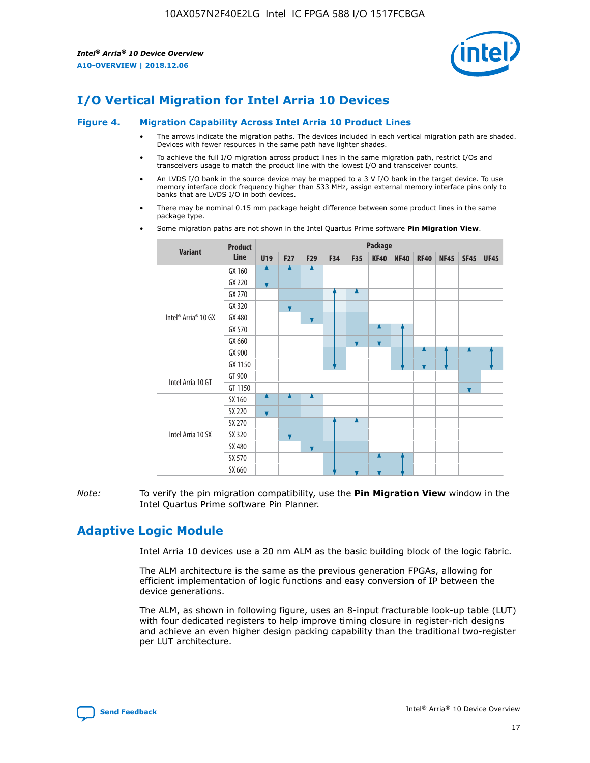

# **I/O Vertical Migration for Intel Arria 10 Devices**

#### **Figure 4. Migration Capability Across Intel Arria 10 Product Lines**

- The arrows indicate the migration paths. The devices included in each vertical migration path are shaded. Devices with fewer resources in the same path have lighter shades.
- To achieve the full I/O migration across product lines in the same migration path, restrict I/Os and transceivers usage to match the product line with the lowest I/O and transceiver counts.
- An LVDS I/O bank in the source device may be mapped to a 3 V I/O bank in the target device. To use memory interface clock frequency higher than 533 MHz, assign external memory interface pins only to banks that are LVDS I/O in both devices.
- There may be nominal 0.15 mm package height difference between some product lines in the same package type.
	- **Variant Product Line Package U19 F27 F29 F34 F35 KF40 NF40 RF40 NF45 SF45 UF45** Intel® Arria® 10 GX GX 160 GX 220 GX 270 GX 320 GX 480 GX 570 GX 660 GX 900 GX 1150 Intel Arria 10 GT GT 900 GT 1150 Intel Arria 10 SX SX 160 SX 220 SX 270 SX 320 SX 480 SX 570 SX 660
- Some migration paths are not shown in the Intel Quartus Prime software **Pin Migration View**.

*Note:* To verify the pin migration compatibility, use the **Pin Migration View** window in the Intel Quartus Prime software Pin Planner.

# **Adaptive Logic Module**

Intel Arria 10 devices use a 20 nm ALM as the basic building block of the logic fabric.

The ALM architecture is the same as the previous generation FPGAs, allowing for efficient implementation of logic functions and easy conversion of IP between the device generations.

The ALM, as shown in following figure, uses an 8-input fracturable look-up table (LUT) with four dedicated registers to help improve timing closure in register-rich designs and achieve an even higher design packing capability than the traditional two-register per LUT architecture.

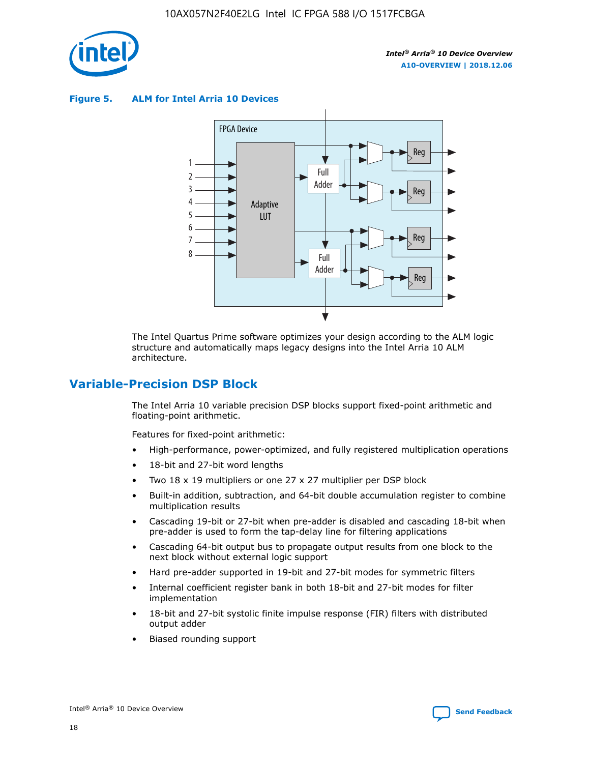

**Figure 5. ALM for Intel Arria 10 Devices**



The Intel Quartus Prime software optimizes your design according to the ALM logic structure and automatically maps legacy designs into the Intel Arria 10 ALM architecture.

# **Variable-Precision DSP Block**

The Intel Arria 10 variable precision DSP blocks support fixed-point arithmetic and floating-point arithmetic.

Features for fixed-point arithmetic:

- High-performance, power-optimized, and fully registered multiplication operations
- 18-bit and 27-bit word lengths
- Two 18 x 19 multipliers or one 27 x 27 multiplier per DSP block
- Built-in addition, subtraction, and 64-bit double accumulation register to combine multiplication results
- Cascading 19-bit or 27-bit when pre-adder is disabled and cascading 18-bit when pre-adder is used to form the tap-delay line for filtering applications
- Cascading 64-bit output bus to propagate output results from one block to the next block without external logic support
- Hard pre-adder supported in 19-bit and 27-bit modes for symmetric filters
- Internal coefficient register bank in both 18-bit and 27-bit modes for filter implementation
- 18-bit and 27-bit systolic finite impulse response (FIR) filters with distributed output adder
- Biased rounding support

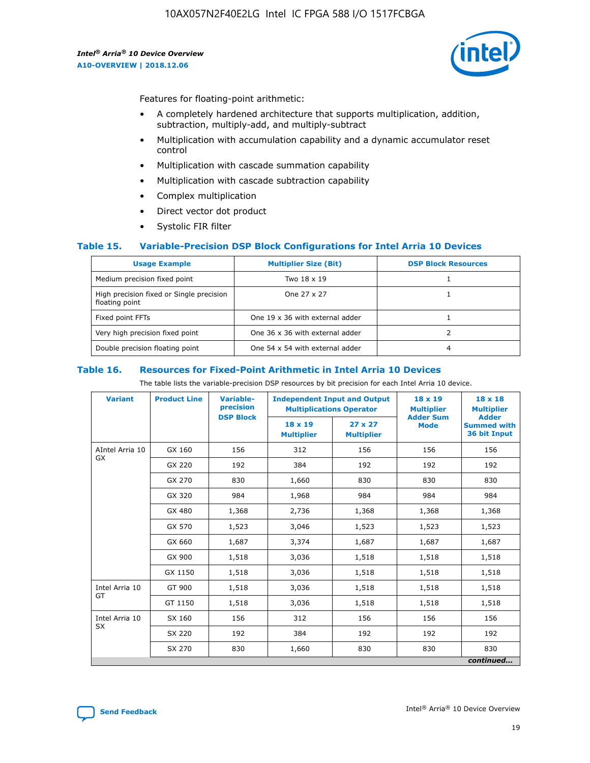

Features for floating-point arithmetic:

- A completely hardened architecture that supports multiplication, addition, subtraction, multiply-add, and multiply-subtract
- Multiplication with accumulation capability and a dynamic accumulator reset control
- Multiplication with cascade summation capability
- Multiplication with cascade subtraction capability
- Complex multiplication
- Direct vector dot product
- Systolic FIR filter

#### **Table 15. Variable-Precision DSP Block Configurations for Intel Arria 10 Devices**

| <b>Usage Example</b>                                       | <b>Multiplier Size (Bit)</b>    | <b>DSP Block Resources</b> |
|------------------------------------------------------------|---------------------------------|----------------------------|
| Medium precision fixed point                               | Two 18 x 19                     |                            |
| High precision fixed or Single precision<br>floating point | One 27 x 27                     |                            |
| Fixed point FFTs                                           | One 19 x 36 with external adder |                            |
| Very high precision fixed point                            | One 36 x 36 with external adder |                            |
| Double precision floating point                            | One 54 x 54 with external adder | 4                          |

#### **Table 16. Resources for Fixed-Point Arithmetic in Intel Arria 10 Devices**

The table lists the variable-precision DSP resources by bit precision for each Intel Arria 10 device.

| <b>Variant</b>        | <b>Product Line</b> | Variable-<br>precision<br><b>DSP Block</b> | <b>Independent Input and Output</b><br><b>Multiplications Operator</b> |                                     | 18 x 19<br><b>Multiplier</b><br><b>Adder Sum</b> | $18 \times 18$<br><b>Multiplier</b><br><b>Adder</b> |
|-----------------------|---------------------|--------------------------------------------|------------------------------------------------------------------------|-------------------------------------|--------------------------------------------------|-----------------------------------------------------|
|                       |                     |                                            | 18 x 19<br><b>Multiplier</b>                                           | $27 \times 27$<br><b>Multiplier</b> | <b>Mode</b>                                      | <b>Summed with</b><br>36 bit Input                  |
| AIntel Arria 10<br>GX | GX 160              | 156                                        | 312                                                                    | 156                                 | 156                                              | 156                                                 |
|                       | GX 220              | 192                                        | 384                                                                    | 192                                 | 192                                              | 192                                                 |
|                       | GX 270              | 830                                        | 1,660                                                                  | 830                                 | 830                                              | 830                                                 |
|                       | GX 320              | 984                                        | 1,968                                                                  | 984                                 | 984                                              | 984                                                 |
|                       | GX 480              | 1,368                                      | 2,736                                                                  | 1,368                               | 1,368                                            | 1,368                                               |
|                       | GX 570              | 1,523                                      | 3,046                                                                  | 1,523                               | 1,523                                            | 1,523                                               |
|                       | GX 660              | 1,687                                      | 3,374                                                                  | 1,687                               | 1,687                                            | 1,687                                               |
|                       | GX 900              | 1,518                                      | 3,036                                                                  | 1,518                               | 1,518                                            | 1,518                                               |
|                       | GX 1150             | 1,518                                      | 3,036                                                                  | 1,518                               | 1,518                                            | 1,518                                               |
| Intel Arria 10        | GT 900              | 1,518                                      | 3,036                                                                  | 1,518                               | 1,518                                            | 1,518                                               |
| GT                    | GT 1150             | 1,518                                      | 3,036                                                                  | 1,518                               | 1,518                                            | 1,518                                               |
| Intel Arria 10        | SX 160              | 156                                        | 312                                                                    | 156                                 | 156                                              | 156                                                 |
| <b>SX</b>             | SX 220              | 192                                        | 384                                                                    | 192                                 | 192                                              | 192                                                 |
|                       | SX 270              | 830                                        | 1,660                                                                  | 830                                 | 830                                              | 830                                                 |
|                       |                     |                                            |                                                                        |                                     |                                                  | continued                                           |

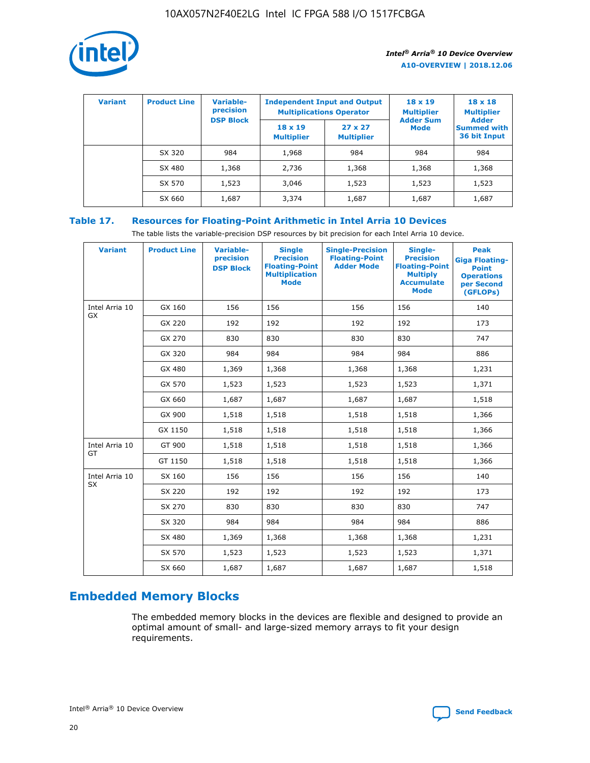

| <b>Variant</b> | <b>Product Line</b> | Variable-<br>precision | <b>Independent Input and Output</b><br><b>Multiplications Operator</b> |                                     | $18 \times 19$<br><b>Multiplier</b> | $18 \times 18$<br><b>Multiplier</b><br><b>Adder</b> |  |
|----------------|---------------------|------------------------|------------------------------------------------------------------------|-------------------------------------|-------------------------------------|-----------------------------------------------------|--|
|                |                     | <b>DSP Block</b>       | $18 \times 19$<br><b>Multiplier</b>                                    | $27 \times 27$<br><b>Multiplier</b> | <b>Adder Sum</b><br><b>Mode</b>     | <b>Summed with</b><br>36 bit Input                  |  |
|                | SX 320              | 984                    | 1,968                                                                  | 984                                 | 984                                 | 984                                                 |  |
|                | SX 480              | 1,368                  | 2,736                                                                  | 1,368                               | 1,368                               | 1,368                                               |  |
|                | SX 570              | 1,523                  | 3,046                                                                  | 1,523                               | 1,523                               | 1,523                                               |  |
|                | SX 660              | 1,687                  | 3,374                                                                  | 1,687                               | 1,687                               | 1,687                                               |  |

# **Table 17. Resources for Floating-Point Arithmetic in Intel Arria 10 Devices**

The table lists the variable-precision DSP resources by bit precision for each Intel Arria 10 device.

| <b>Variant</b>              | <b>Product Line</b> | <b>Variable-</b><br>precision<br><b>DSP Block</b> | <b>Single</b><br><b>Precision</b><br><b>Floating-Point</b><br><b>Multiplication</b><br><b>Mode</b> | <b>Single-Precision</b><br><b>Floating-Point</b><br><b>Adder Mode</b> | Single-<br><b>Precision</b><br><b>Floating-Point</b><br><b>Multiply</b><br><b>Accumulate</b><br><b>Mode</b> | <b>Peak</b><br><b>Giga Floating-</b><br><b>Point</b><br><b>Operations</b><br>per Second<br>(GFLOPs) |
|-----------------------------|---------------------|---------------------------------------------------|----------------------------------------------------------------------------------------------------|-----------------------------------------------------------------------|-------------------------------------------------------------------------------------------------------------|-----------------------------------------------------------------------------------------------------|
| Intel Arria 10<br>GX        | GX 160              | 156                                               | 156                                                                                                | 156                                                                   | 156                                                                                                         | 140                                                                                                 |
|                             | GX 220              | 192                                               | 192                                                                                                | 192                                                                   | 192                                                                                                         | 173                                                                                                 |
|                             | GX 270              | 830                                               | 830                                                                                                | 830                                                                   | 830                                                                                                         | 747                                                                                                 |
|                             | GX 320              | 984                                               | 984                                                                                                | 984                                                                   | 984                                                                                                         | 886                                                                                                 |
|                             | GX 480              | 1,369                                             | 1,368                                                                                              | 1,368                                                                 | 1,368                                                                                                       | 1,231                                                                                               |
|                             | GX 570              | 1,523                                             | 1,523                                                                                              | 1,523                                                                 | 1,523                                                                                                       | 1,371                                                                                               |
|                             | GX 660              | 1,687                                             | 1,687                                                                                              | 1,687                                                                 | 1,687                                                                                                       | 1,518                                                                                               |
|                             | GX 900              | 1,518                                             | 1,518                                                                                              | 1,518                                                                 | 1,518                                                                                                       | 1,366                                                                                               |
|                             | GX 1150             | 1,518                                             | 1,518                                                                                              | 1,518                                                                 | 1,518                                                                                                       | 1,366                                                                                               |
| Intel Arria 10              | GT 900              | 1,518                                             | 1,518                                                                                              | 1,518                                                                 | 1,518                                                                                                       | 1,366                                                                                               |
| GT                          | GT 1150             | 1,518                                             | 1,518                                                                                              | 1,518                                                                 | 1,518                                                                                                       | 1,366                                                                                               |
| Intel Arria 10<br><b>SX</b> | SX 160              | 156                                               | 156                                                                                                | 156                                                                   | 156                                                                                                         | 140                                                                                                 |
|                             | SX 220              | 192                                               | 192                                                                                                | 192                                                                   | 192                                                                                                         | 173                                                                                                 |
|                             | SX 270              | 830                                               | 830                                                                                                | 830                                                                   | 830                                                                                                         | 747                                                                                                 |
|                             | SX 320              | 984                                               | 984                                                                                                | 984                                                                   | 984                                                                                                         | 886                                                                                                 |
|                             | SX 480              | 1,369                                             | 1,368                                                                                              | 1,368                                                                 | 1,368                                                                                                       | 1,231                                                                                               |
|                             | SX 570              | 1,523                                             | 1,523                                                                                              | 1,523                                                                 | 1,523                                                                                                       | 1,371                                                                                               |
|                             | SX 660              | 1,687                                             | 1,687                                                                                              | 1,687                                                                 | 1,687                                                                                                       | 1,518                                                                                               |

# **Embedded Memory Blocks**

The embedded memory blocks in the devices are flexible and designed to provide an optimal amount of small- and large-sized memory arrays to fit your design requirements.

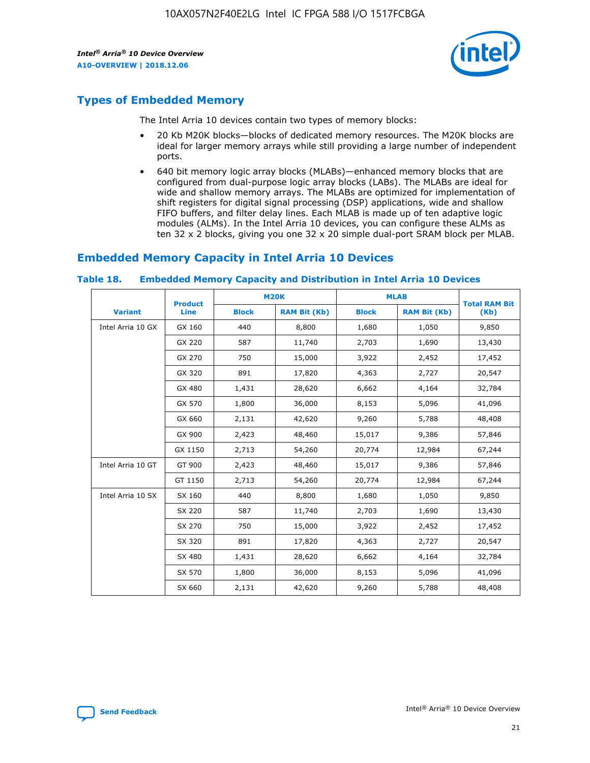

# **Types of Embedded Memory**

The Intel Arria 10 devices contain two types of memory blocks:

- 20 Kb M20K blocks—blocks of dedicated memory resources. The M20K blocks are ideal for larger memory arrays while still providing a large number of independent ports.
- 640 bit memory logic array blocks (MLABs)—enhanced memory blocks that are configured from dual-purpose logic array blocks (LABs). The MLABs are ideal for wide and shallow memory arrays. The MLABs are optimized for implementation of shift registers for digital signal processing (DSP) applications, wide and shallow FIFO buffers, and filter delay lines. Each MLAB is made up of ten adaptive logic modules (ALMs). In the Intel Arria 10 devices, you can configure these ALMs as ten 32 x 2 blocks, giving you one 32 x 20 simple dual-port SRAM block per MLAB.

# **Embedded Memory Capacity in Intel Arria 10 Devices**

|                   | <b>Product</b> |              | <b>M20K</b>         | <b>MLAB</b>  |                     | <b>Total RAM Bit</b> |
|-------------------|----------------|--------------|---------------------|--------------|---------------------|----------------------|
| <b>Variant</b>    | <b>Line</b>    | <b>Block</b> | <b>RAM Bit (Kb)</b> | <b>Block</b> | <b>RAM Bit (Kb)</b> | (Kb)                 |
| Intel Arria 10 GX | GX 160         | 440          | 8,800               | 1,680        | 1,050               | 9,850                |
|                   | GX 220         | 587          | 11,740              | 2,703        | 1,690               | 13,430               |
|                   | GX 270         | 750          | 15,000              | 3,922        | 2,452               | 17,452               |
|                   | GX 320         | 891          | 17,820              | 4,363        | 2,727               | 20,547               |
|                   | GX 480         | 1,431        | 28,620              | 6,662        | 4,164               | 32,784               |
|                   | GX 570         | 1,800        | 36,000              | 8,153        | 5,096               | 41,096               |
|                   | GX 660         | 2,131        | 42,620              | 9,260        | 5,788               | 48,408               |
|                   | GX 900         | 2,423        | 48,460              | 15,017       | 9,386               | 57,846               |
|                   | GX 1150        | 2,713        | 54,260              | 20,774       | 12,984              | 67,244               |
| Intel Arria 10 GT | GT 900         | 2,423        | 48,460              | 15,017       | 9,386               | 57,846               |
|                   | GT 1150        | 2,713        | 54,260              | 20,774       | 12,984              | 67,244               |
| Intel Arria 10 SX | SX 160         | 440          | 8,800               | 1,680        | 1,050               | 9,850                |
|                   | SX 220         | 587          | 11,740              | 2,703        | 1,690               | 13,430               |
|                   | SX 270         | 750          | 15,000              | 3,922        | 2,452               | 17,452               |
|                   | SX 320         | 891          | 17,820              | 4,363        | 2,727               | 20,547               |
|                   | SX 480         | 1,431        | 28,620              | 6,662        | 4,164               | 32,784               |
|                   | SX 570         | 1,800        | 36,000              | 8,153        | 5,096               | 41,096               |
|                   | SX 660         | 2,131        | 42,620              | 9,260        | 5,788               | 48,408               |

#### **Table 18. Embedded Memory Capacity and Distribution in Intel Arria 10 Devices**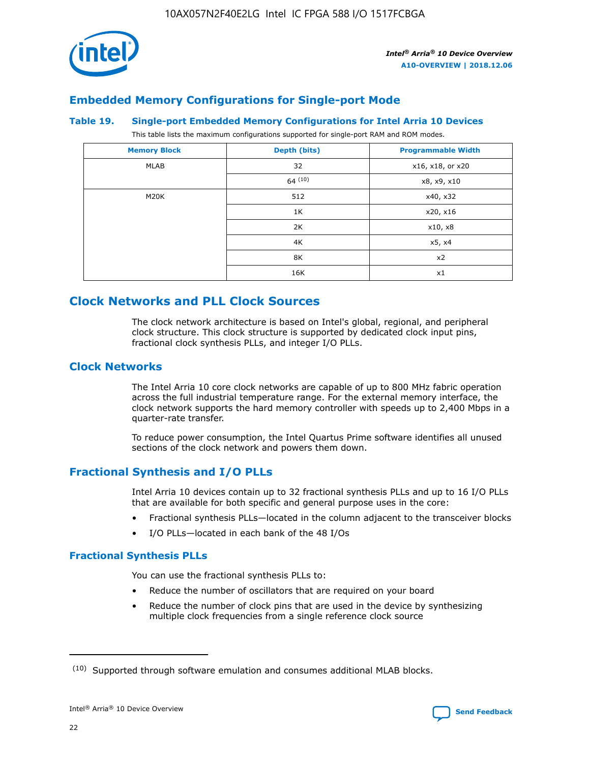

# **Embedded Memory Configurations for Single-port Mode**

#### **Table 19. Single-port Embedded Memory Configurations for Intel Arria 10 Devices**

This table lists the maximum configurations supported for single-port RAM and ROM modes.

| <b>Memory Block</b> | Depth (bits) | <b>Programmable Width</b> |
|---------------------|--------------|---------------------------|
| MLAB                | 32           | x16, x18, or x20          |
|                     | 64(10)       | x8, x9, x10               |
| M20K                | 512          | x40, x32                  |
|                     | 1K           | x20, x16                  |
|                     | 2K           | x10, x8                   |
|                     | 4K           | x5, x4                    |
|                     | 8K           | x2                        |
|                     | 16K          | x1                        |

# **Clock Networks and PLL Clock Sources**

The clock network architecture is based on Intel's global, regional, and peripheral clock structure. This clock structure is supported by dedicated clock input pins, fractional clock synthesis PLLs, and integer I/O PLLs.

## **Clock Networks**

The Intel Arria 10 core clock networks are capable of up to 800 MHz fabric operation across the full industrial temperature range. For the external memory interface, the clock network supports the hard memory controller with speeds up to 2,400 Mbps in a quarter-rate transfer.

To reduce power consumption, the Intel Quartus Prime software identifies all unused sections of the clock network and powers them down.

## **Fractional Synthesis and I/O PLLs**

Intel Arria 10 devices contain up to 32 fractional synthesis PLLs and up to 16 I/O PLLs that are available for both specific and general purpose uses in the core:

- Fractional synthesis PLLs—located in the column adjacent to the transceiver blocks
- I/O PLLs—located in each bank of the 48 I/Os

#### **Fractional Synthesis PLLs**

You can use the fractional synthesis PLLs to:

- Reduce the number of oscillators that are required on your board
- Reduce the number of clock pins that are used in the device by synthesizing multiple clock frequencies from a single reference clock source

<sup>(10)</sup> Supported through software emulation and consumes additional MLAB blocks.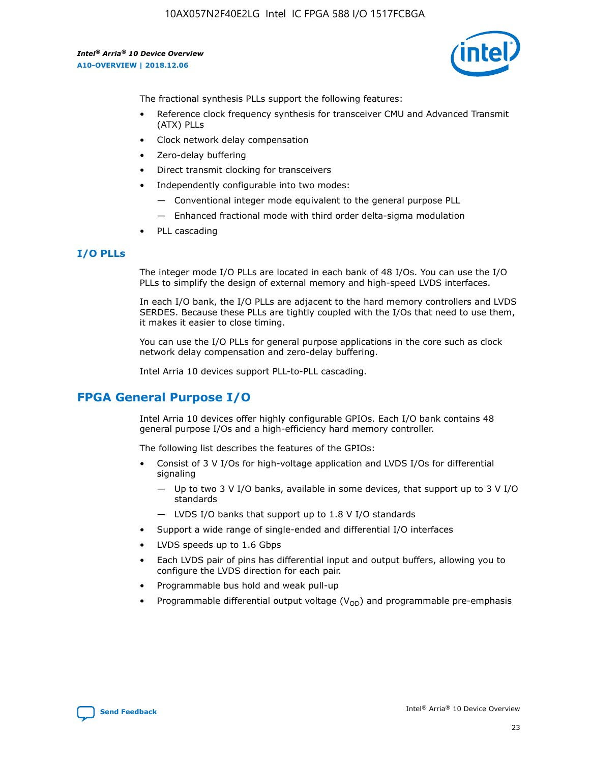

The fractional synthesis PLLs support the following features:

- Reference clock frequency synthesis for transceiver CMU and Advanced Transmit (ATX) PLLs
- Clock network delay compensation
- Zero-delay buffering
- Direct transmit clocking for transceivers
- Independently configurable into two modes:
	- Conventional integer mode equivalent to the general purpose PLL
	- Enhanced fractional mode with third order delta-sigma modulation
- PLL cascading

## **I/O PLLs**

The integer mode I/O PLLs are located in each bank of 48 I/Os. You can use the I/O PLLs to simplify the design of external memory and high-speed LVDS interfaces.

In each I/O bank, the I/O PLLs are adjacent to the hard memory controllers and LVDS SERDES. Because these PLLs are tightly coupled with the I/Os that need to use them, it makes it easier to close timing.

You can use the I/O PLLs for general purpose applications in the core such as clock network delay compensation and zero-delay buffering.

Intel Arria 10 devices support PLL-to-PLL cascading.

# **FPGA General Purpose I/O**

Intel Arria 10 devices offer highly configurable GPIOs. Each I/O bank contains 48 general purpose I/Os and a high-efficiency hard memory controller.

The following list describes the features of the GPIOs:

- Consist of 3 V I/Os for high-voltage application and LVDS I/Os for differential signaling
	- Up to two 3 V I/O banks, available in some devices, that support up to 3 V I/O standards
	- LVDS I/O banks that support up to 1.8 V I/O standards
- Support a wide range of single-ended and differential I/O interfaces
- LVDS speeds up to 1.6 Gbps
- Each LVDS pair of pins has differential input and output buffers, allowing you to configure the LVDS direction for each pair.
- Programmable bus hold and weak pull-up
- Programmable differential output voltage  $(V_{OD})$  and programmable pre-emphasis

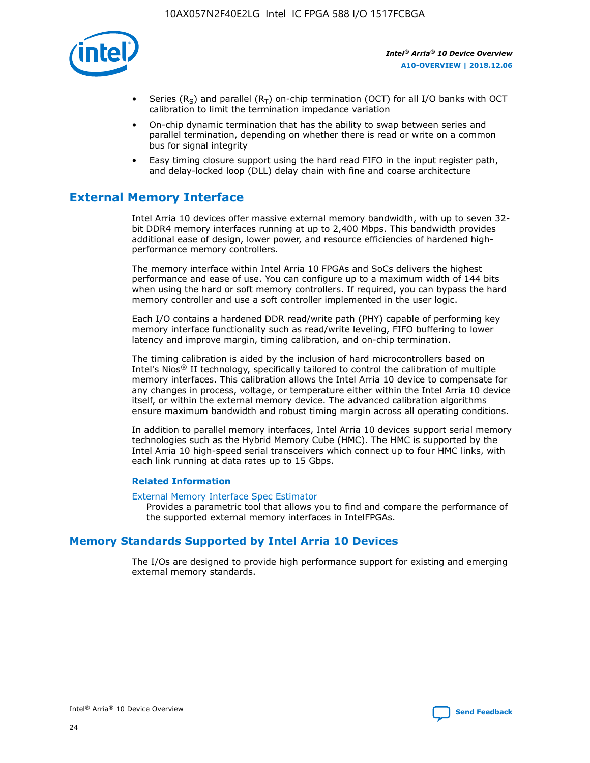

- Series (R<sub>S</sub>) and parallel (R<sub>T</sub>) on-chip termination (OCT) for all I/O banks with OCT calibration to limit the termination impedance variation
- On-chip dynamic termination that has the ability to swap between series and parallel termination, depending on whether there is read or write on a common bus for signal integrity
- Easy timing closure support using the hard read FIFO in the input register path, and delay-locked loop (DLL) delay chain with fine and coarse architecture

# **External Memory Interface**

Intel Arria 10 devices offer massive external memory bandwidth, with up to seven 32 bit DDR4 memory interfaces running at up to 2,400 Mbps. This bandwidth provides additional ease of design, lower power, and resource efficiencies of hardened highperformance memory controllers.

The memory interface within Intel Arria 10 FPGAs and SoCs delivers the highest performance and ease of use. You can configure up to a maximum width of 144 bits when using the hard or soft memory controllers. If required, you can bypass the hard memory controller and use a soft controller implemented in the user logic.

Each I/O contains a hardened DDR read/write path (PHY) capable of performing key memory interface functionality such as read/write leveling, FIFO buffering to lower latency and improve margin, timing calibration, and on-chip termination.

The timing calibration is aided by the inclusion of hard microcontrollers based on Intel's Nios® II technology, specifically tailored to control the calibration of multiple memory interfaces. This calibration allows the Intel Arria 10 device to compensate for any changes in process, voltage, or temperature either within the Intel Arria 10 device itself, or within the external memory device. The advanced calibration algorithms ensure maximum bandwidth and robust timing margin across all operating conditions.

In addition to parallel memory interfaces, Intel Arria 10 devices support serial memory technologies such as the Hybrid Memory Cube (HMC). The HMC is supported by the Intel Arria 10 high-speed serial transceivers which connect up to four HMC links, with each link running at data rates up to 15 Gbps.

#### **Related Information**

#### [External Memory Interface Spec Estimator](http://www.altera.com/technology/memory/estimator/mem-emif-index.html)

Provides a parametric tool that allows you to find and compare the performance of the supported external memory interfaces in IntelFPGAs.

# **Memory Standards Supported by Intel Arria 10 Devices**

The I/Os are designed to provide high performance support for existing and emerging external memory standards.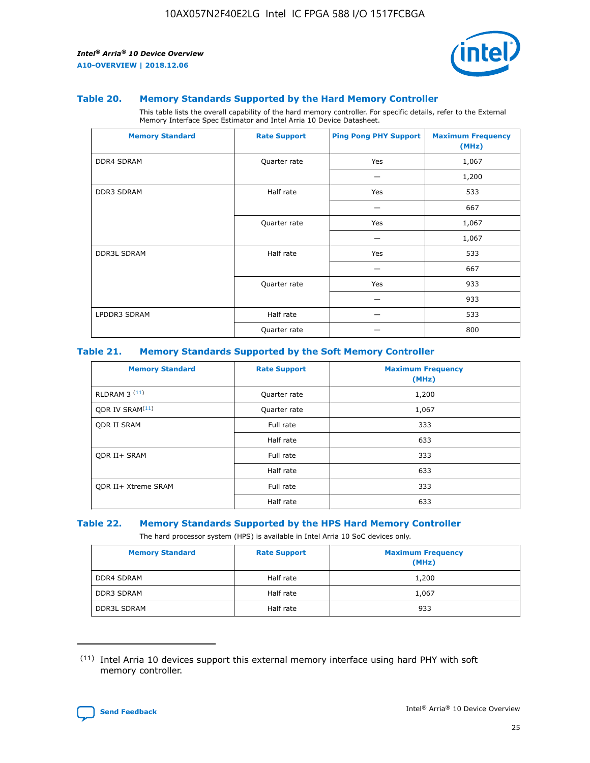

#### **Table 20. Memory Standards Supported by the Hard Memory Controller**

This table lists the overall capability of the hard memory controller. For specific details, refer to the External Memory Interface Spec Estimator and Intel Arria 10 Device Datasheet.

| <b>Memory Standard</b> | <b>Rate Support</b> | <b>Ping Pong PHY Support</b> | <b>Maximum Frequency</b><br>(MHz) |
|------------------------|---------------------|------------------------------|-----------------------------------|
| <b>DDR4 SDRAM</b>      | Quarter rate        | Yes                          | 1,067                             |
|                        |                     |                              | 1,200                             |
| DDR3 SDRAM             | Half rate           | Yes                          | 533                               |
|                        |                     |                              | 667                               |
|                        | Quarter rate        | Yes                          | 1,067                             |
|                        |                     |                              | 1,067                             |
| <b>DDR3L SDRAM</b>     | Half rate           | Yes                          | 533                               |
|                        |                     |                              | 667                               |
|                        | Quarter rate        | Yes                          | 933                               |
|                        |                     |                              | 933                               |
| LPDDR3 SDRAM           | Half rate           |                              | 533                               |
|                        | Quarter rate        |                              | 800                               |

#### **Table 21. Memory Standards Supported by the Soft Memory Controller**

| <b>Memory Standard</b>      | <b>Rate Support</b> | <b>Maximum Frequency</b><br>(MHz) |
|-----------------------------|---------------------|-----------------------------------|
| <b>RLDRAM 3 (11)</b>        | Quarter rate        | 1,200                             |
| ODR IV SRAM <sup>(11)</sup> | Quarter rate        | 1,067                             |
| <b>ODR II SRAM</b>          | Full rate           | 333                               |
|                             | Half rate           | 633                               |
| <b>ODR II+ SRAM</b>         | Full rate           | 333                               |
|                             | Half rate           | 633                               |
| <b>ODR II+ Xtreme SRAM</b>  | Full rate           | 333                               |
|                             | Half rate           | 633                               |

#### **Table 22. Memory Standards Supported by the HPS Hard Memory Controller**

The hard processor system (HPS) is available in Intel Arria 10 SoC devices only.

| <b>Memory Standard</b> | <b>Rate Support</b> | <b>Maximum Frequency</b><br>(MHz) |
|------------------------|---------------------|-----------------------------------|
| <b>DDR4 SDRAM</b>      | Half rate           | 1,200                             |
| <b>DDR3 SDRAM</b>      | Half rate           | 1,067                             |
| <b>DDR3L SDRAM</b>     | Half rate           | 933                               |

<sup>(11)</sup> Intel Arria 10 devices support this external memory interface using hard PHY with soft memory controller.

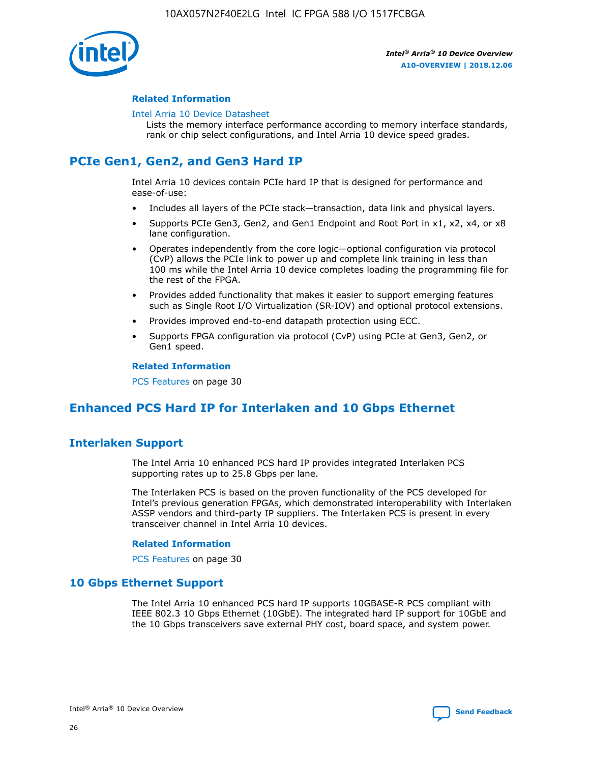

#### **Related Information**

#### [Intel Arria 10 Device Datasheet](https://www.intel.com/content/www/us/en/programmable/documentation/mcn1413182292568.html#mcn1413182153340)

Lists the memory interface performance according to memory interface standards, rank or chip select configurations, and Intel Arria 10 device speed grades.

# **PCIe Gen1, Gen2, and Gen3 Hard IP**

Intel Arria 10 devices contain PCIe hard IP that is designed for performance and ease-of-use:

- Includes all layers of the PCIe stack—transaction, data link and physical layers.
- Supports PCIe Gen3, Gen2, and Gen1 Endpoint and Root Port in x1, x2, x4, or x8 lane configuration.
- Operates independently from the core logic—optional configuration via protocol (CvP) allows the PCIe link to power up and complete link training in less than 100 ms while the Intel Arria 10 device completes loading the programming file for the rest of the FPGA.
- Provides added functionality that makes it easier to support emerging features such as Single Root I/O Virtualization (SR-IOV) and optional protocol extensions.
- Provides improved end-to-end datapath protection using ECC.
- Supports FPGA configuration via protocol (CvP) using PCIe at Gen3, Gen2, or Gen1 speed.

#### **Related Information**

PCS Features on page 30

# **Enhanced PCS Hard IP for Interlaken and 10 Gbps Ethernet**

# **Interlaken Support**

The Intel Arria 10 enhanced PCS hard IP provides integrated Interlaken PCS supporting rates up to 25.8 Gbps per lane.

The Interlaken PCS is based on the proven functionality of the PCS developed for Intel's previous generation FPGAs, which demonstrated interoperability with Interlaken ASSP vendors and third-party IP suppliers. The Interlaken PCS is present in every transceiver channel in Intel Arria 10 devices.

#### **Related Information**

PCS Features on page 30

## **10 Gbps Ethernet Support**

The Intel Arria 10 enhanced PCS hard IP supports 10GBASE-R PCS compliant with IEEE 802.3 10 Gbps Ethernet (10GbE). The integrated hard IP support for 10GbE and the 10 Gbps transceivers save external PHY cost, board space, and system power.

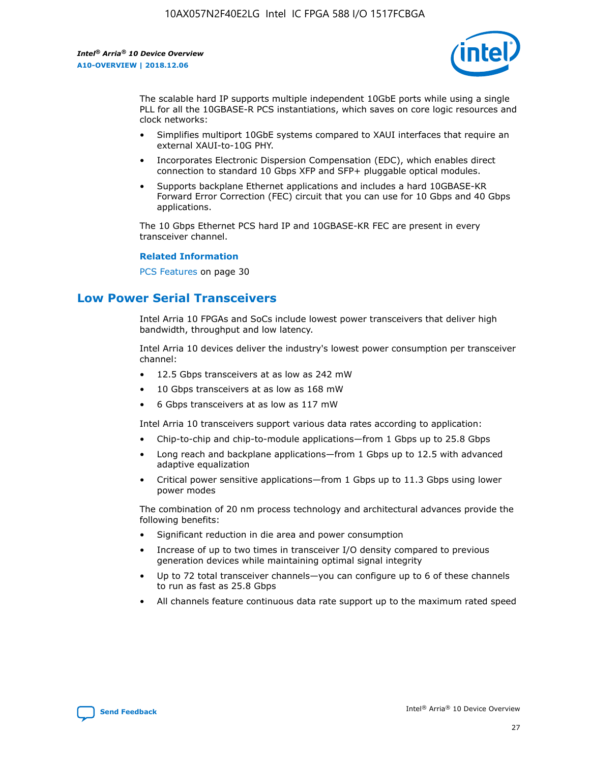

The scalable hard IP supports multiple independent 10GbE ports while using a single PLL for all the 10GBASE-R PCS instantiations, which saves on core logic resources and clock networks:

- Simplifies multiport 10GbE systems compared to XAUI interfaces that require an external XAUI-to-10G PHY.
- Incorporates Electronic Dispersion Compensation (EDC), which enables direct connection to standard 10 Gbps XFP and SFP+ pluggable optical modules.
- Supports backplane Ethernet applications and includes a hard 10GBASE-KR Forward Error Correction (FEC) circuit that you can use for 10 Gbps and 40 Gbps applications.

The 10 Gbps Ethernet PCS hard IP and 10GBASE-KR FEC are present in every transceiver channel.

#### **Related Information**

PCS Features on page 30

# **Low Power Serial Transceivers**

Intel Arria 10 FPGAs and SoCs include lowest power transceivers that deliver high bandwidth, throughput and low latency.

Intel Arria 10 devices deliver the industry's lowest power consumption per transceiver channel:

- 12.5 Gbps transceivers at as low as 242 mW
- 10 Gbps transceivers at as low as 168 mW
- 6 Gbps transceivers at as low as 117 mW

Intel Arria 10 transceivers support various data rates according to application:

- Chip-to-chip and chip-to-module applications—from 1 Gbps up to 25.8 Gbps
- Long reach and backplane applications—from 1 Gbps up to 12.5 with advanced adaptive equalization
- Critical power sensitive applications—from 1 Gbps up to 11.3 Gbps using lower power modes

The combination of 20 nm process technology and architectural advances provide the following benefits:

- Significant reduction in die area and power consumption
- Increase of up to two times in transceiver I/O density compared to previous generation devices while maintaining optimal signal integrity
- Up to 72 total transceiver channels—you can configure up to 6 of these channels to run as fast as 25.8 Gbps
- All channels feature continuous data rate support up to the maximum rated speed

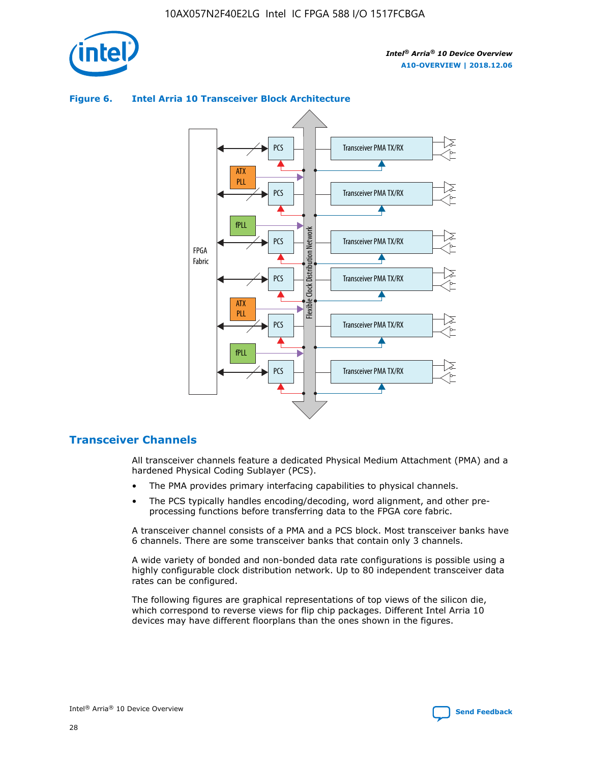

# Transceiver PMA TX/RX PCS ATX PLL Transceiver PMA TX/RX PCS fPLL Network Flexible Clock Distribution Network PCS Transceiver PMA TX/RX FPGA **Clock Distribution** Fabric PCS Transceiver PMA TX/RX ATX Flexible PLL PCS Transceiver PMA TX/RX ▲ fPLL Transceiver PMA TX/RX PCS 4

## **Figure 6. Intel Arria 10 Transceiver Block Architecture**

## **Transceiver Channels**

All transceiver channels feature a dedicated Physical Medium Attachment (PMA) and a hardened Physical Coding Sublayer (PCS).

- The PMA provides primary interfacing capabilities to physical channels.
- The PCS typically handles encoding/decoding, word alignment, and other preprocessing functions before transferring data to the FPGA core fabric.

A transceiver channel consists of a PMA and a PCS block. Most transceiver banks have 6 channels. There are some transceiver banks that contain only 3 channels.

A wide variety of bonded and non-bonded data rate configurations is possible using a highly configurable clock distribution network. Up to 80 independent transceiver data rates can be configured.

The following figures are graphical representations of top views of the silicon die, which correspond to reverse views for flip chip packages. Different Intel Arria 10 devices may have different floorplans than the ones shown in the figures.

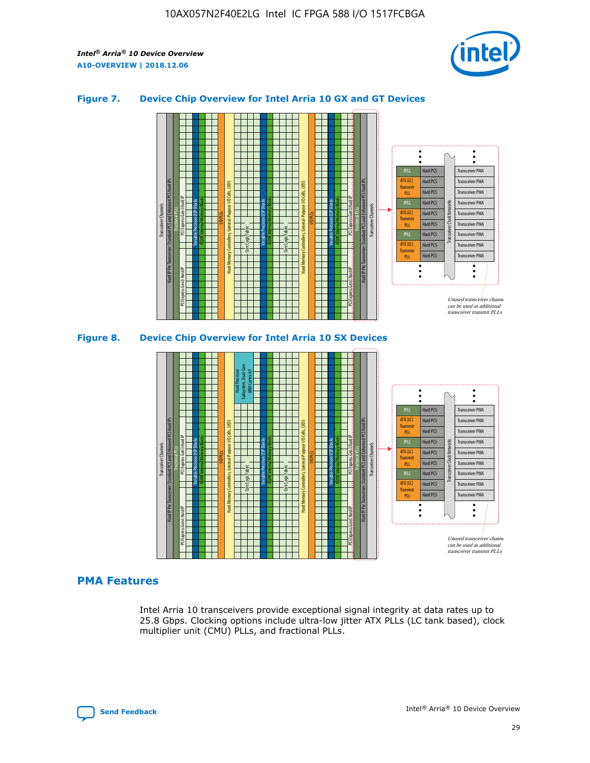

## **Figure 7. Device Chip Overview for Intel Arria 10 GX and GT Devices**



M20K Internal Memory Blocks Core Logic Fabric Transceiver Channels Hard IP Per Transceiver: Standard PCS and Enhanced PCS Hard IPs PCI Express Gen3 Hard IP Fractional PLLs M20K Internal Memory Blocks PCI Express Gen3 Hard IP Variable Precision DSP Blocks I/O PLLs Hard Memory Controllers, General-Purpose I/O Cells, LVDS Hard Processor Subsystem, Dual-Core ARM Cortex A9 M20K Internal Memory Blocks Variable Precision DSP Blocks M20K Internal Memory Blocks Core Logic Fabric I/O PLLs Hard Memory Controllers, General-Purpose I/O Cells, LVDS M20K Internal Memory Blocks Variable Precision DSP Blocks M20K Internal Memory Blocks Transceiver Channels Hard IP Per Transceiver: Standard PCS and Enhanced PCS Hard IPs PCI Express Gen3 Hard IP Fractional PLLs PCI Express Gen3 Hard IP Hard PCS Hard PCS Hard PCS Hard PCS Hard PCS Hard PCS Hard PCS Hard PCS Hard PCS Transceiver PMA Transceiver PMA Transceiver PMA Transceiver PMA Transceiver PMA Transceiver PMA Transceiver PMA Unused transceiver chann can be used as additional transceiver transmit PLLs Transceiver PMA Transceiver PMA Transceiver Clock Networks ATX (LC) **Transmit** PLL fPLL ATX (LC) Transmi PLL fPLL ATX (LC) **Transmit** PLL

## **PMA Features**

Intel Arria 10 transceivers provide exceptional signal integrity at data rates up to 25.8 Gbps. Clocking options include ultra-low jitter ATX PLLs (LC tank based), clock multiplier unit (CMU) PLLs, and fractional PLLs.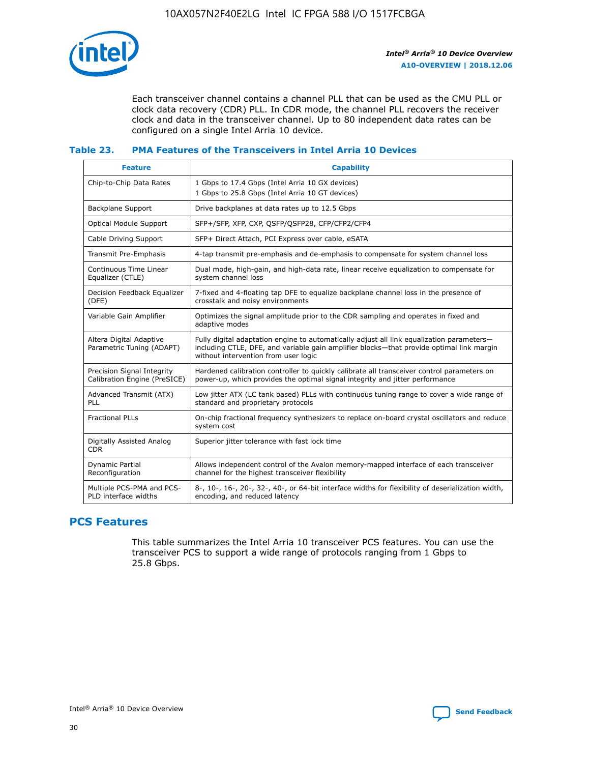

Each transceiver channel contains a channel PLL that can be used as the CMU PLL or clock data recovery (CDR) PLL. In CDR mode, the channel PLL recovers the receiver clock and data in the transceiver channel. Up to 80 independent data rates can be configured on a single Intel Arria 10 device.

## **Table 23. PMA Features of the Transceivers in Intel Arria 10 Devices**

| <b>Feature</b>                                             | <b>Capability</b>                                                                                                                                                                                                             |
|------------------------------------------------------------|-------------------------------------------------------------------------------------------------------------------------------------------------------------------------------------------------------------------------------|
| Chip-to-Chip Data Rates                                    | 1 Gbps to 17.4 Gbps (Intel Arria 10 GX devices)<br>1 Gbps to 25.8 Gbps (Intel Arria 10 GT devices)                                                                                                                            |
| Backplane Support                                          | Drive backplanes at data rates up to 12.5 Gbps                                                                                                                                                                                |
| <b>Optical Module Support</b>                              | SFP+/SFP, XFP, CXP, QSFP/QSFP28, CFP/CFP2/CFP4                                                                                                                                                                                |
| Cable Driving Support                                      | SFP+ Direct Attach, PCI Express over cable, eSATA                                                                                                                                                                             |
| Transmit Pre-Emphasis                                      | 4-tap transmit pre-emphasis and de-emphasis to compensate for system channel loss                                                                                                                                             |
| Continuous Time Linear<br>Equalizer (CTLE)                 | Dual mode, high-gain, and high-data rate, linear receive equalization to compensate for<br>system channel loss                                                                                                                |
| Decision Feedback Equalizer<br>(DFE)                       | 7-fixed and 4-floating tap DFE to equalize backplane channel loss in the presence of<br>crosstalk and noisy environments                                                                                                      |
| Variable Gain Amplifier                                    | Optimizes the signal amplitude prior to the CDR sampling and operates in fixed and<br>adaptive modes                                                                                                                          |
| Altera Digital Adaptive<br>Parametric Tuning (ADAPT)       | Fully digital adaptation engine to automatically adjust all link equalization parameters-<br>including CTLE, DFE, and variable gain amplifier blocks—that provide optimal link margin<br>without intervention from user logic |
| Precision Signal Integrity<br>Calibration Engine (PreSICE) | Hardened calibration controller to quickly calibrate all transceiver control parameters on<br>power-up, which provides the optimal signal integrity and jitter performance                                                    |
| Advanced Transmit (ATX)<br><b>PLL</b>                      | Low jitter ATX (LC tank based) PLLs with continuous tuning range to cover a wide range of<br>standard and proprietary protocols                                                                                               |
| <b>Fractional PLLs</b>                                     | On-chip fractional frequency synthesizers to replace on-board crystal oscillators and reduce<br>system cost                                                                                                                   |
| Digitally Assisted Analog<br><b>CDR</b>                    | Superior jitter tolerance with fast lock time                                                                                                                                                                                 |
| Dynamic Partial<br>Reconfiguration                         | Allows independent control of the Avalon memory-mapped interface of each transceiver<br>channel for the highest transceiver flexibility                                                                                       |
| Multiple PCS-PMA and PCS-<br>PLD interface widths          | 8-, 10-, 16-, 20-, 32-, 40-, or 64-bit interface widths for flexibility of deserialization width,<br>encoding, and reduced latency                                                                                            |

# **PCS Features**

This table summarizes the Intel Arria 10 transceiver PCS features. You can use the transceiver PCS to support a wide range of protocols ranging from 1 Gbps to 25.8 Gbps.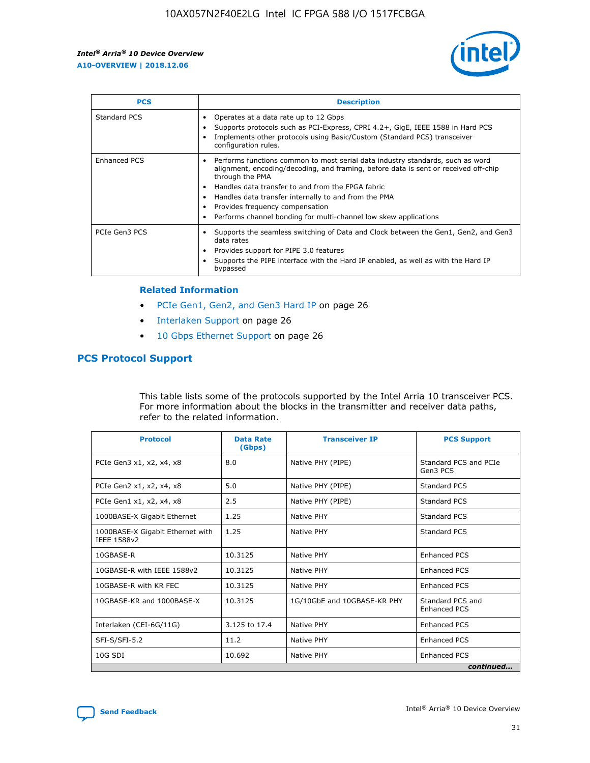

| <b>PCS</b>    | <b>Description</b>                                                                                                                                                                                                                                                                                                                                                                                             |
|---------------|----------------------------------------------------------------------------------------------------------------------------------------------------------------------------------------------------------------------------------------------------------------------------------------------------------------------------------------------------------------------------------------------------------------|
| Standard PCS  | Operates at a data rate up to 12 Gbps<br>Supports protocols such as PCI-Express, CPRI 4.2+, GigE, IEEE 1588 in Hard PCS<br>Implements other protocols using Basic/Custom (Standard PCS) transceiver<br>configuration rules.                                                                                                                                                                                    |
| Enhanced PCS  | Performs functions common to most serial data industry standards, such as word<br>alignment, encoding/decoding, and framing, before data is sent or received off-chip<br>through the PMA<br>• Handles data transfer to and from the FPGA fabric<br>Handles data transfer internally to and from the PMA<br>Provides frequency compensation<br>Performs channel bonding for multi-channel low skew applications |
| PCIe Gen3 PCS | Supports the seamless switching of Data and Clock between the Gen1, Gen2, and Gen3<br>data rates<br>Provides support for PIPE 3.0 features<br>Supports the PIPE interface with the Hard IP enabled, as well as with the Hard IP<br>bypassed                                                                                                                                                                    |

#### **Related Information**

- PCIe Gen1, Gen2, and Gen3 Hard IP on page 26
- Interlaken Support on page 26
- 10 Gbps Ethernet Support on page 26

# **PCS Protocol Support**

This table lists some of the protocols supported by the Intel Arria 10 transceiver PCS. For more information about the blocks in the transmitter and receiver data paths, refer to the related information.

| <b>Protocol</b>                                 | <b>Data Rate</b><br>(Gbps) | <b>Transceiver IP</b>       | <b>PCS Support</b>                      |
|-------------------------------------------------|----------------------------|-----------------------------|-----------------------------------------|
| PCIe Gen3 x1, x2, x4, x8                        | 8.0                        | Native PHY (PIPE)           | Standard PCS and PCIe<br>Gen3 PCS       |
| PCIe Gen2 x1, x2, x4, x8                        | 5.0                        | Native PHY (PIPE)           | <b>Standard PCS</b>                     |
| PCIe Gen1 x1, x2, x4, x8                        | 2.5                        | Native PHY (PIPE)           | Standard PCS                            |
| 1000BASE-X Gigabit Ethernet                     | 1.25                       | Native PHY                  | <b>Standard PCS</b>                     |
| 1000BASE-X Gigabit Ethernet with<br>IEEE 1588v2 | 1.25                       | Native PHY                  | Standard PCS                            |
| 10GBASE-R                                       | 10.3125                    | Native PHY                  | <b>Enhanced PCS</b>                     |
| 10GBASE-R with IEEE 1588v2                      | 10.3125                    | Native PHY                  | <b>Enhanced PCS</b>                     |
| 10GBASE-R with KR FEC                           | 10.3125                    | Native PHY                  | <b>Enhanced PCS</b>                     |
| 10GBASE-KR and 1000BASE-X                       | 10.3125                    | 1G/10GbE and 10GBASE-KR PHY | Standard PCS and<br><b>Enhanced PCS</b> |
| Interlaken (CEI-6G/11G)                         | 3.125 to 17.4              | Native PHY                  | <b>Enhanced PCS</b>                     |
| SFI-S/SFI-5.2                                   | 11.2                       | Native PHY                  | <b>Enhanced PCS</b>                     |
| $10G$ SDI                                       | 10.692                     | Native PHY                  | <b>Enhanced PCS</b>                     |
|                                                 |                            |                             | continued                               |

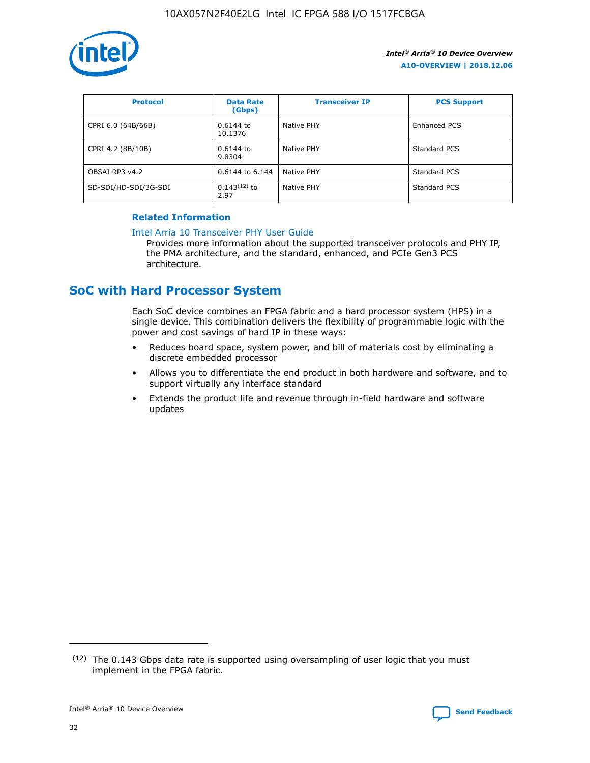

| <b>Protocol</b>      | <b>Data Rate</b><br>(Gbps) | <b>Transceiver IP</b> | <b>PCS Support</b> |
|----------------------|----------------------------|-----------------------|--------------------|
| CPRI 6.0 (64B/66B)   | 0.6144 to<br>10.1376       | Native PHY            | Enhanced PCS       |
| CPRI 4.2 (8B/10B)    | 0.6144 to<br>9.8304        | Native PHY            | Standard PCS       |
| OBSAI RP3 v4.2       | 0.6144 to 6.144            | Native PHY            | Standard PCS       |
| SD-SDI/HD-SDI/3G-SDI | $0.143(12)$ to<br>2.97     | Native PHY            | Standard PCS       |

## **Related Information**

#### [Intel Arria 10 Transceiver PHY User Guide](https://www.intel.com/content/www/us/en/programmable/documentation/nik1398707230472.html#nik1398707091164)

Provides more information about the supported transceiver protocols and PHY IP, the PMA architecture, and the standard, enhanced, and PCIe Gen3 PCS architecture.

# **SoC with Hard Processor System**

Each SoC device combines an FPGA fabric and a hard processor system (HPS) in a single device. This combination delivers the flexibility of programmable logic with the power and cost savings of hard IP in these ways:

- Reduces board space, system power, and bill of materials cost by eliminating a discrete embedded processor
- Allows you to differentiate the end product in both hardware and software, and to support virtually any interface standard
- Extends the product life and revenue through in-field hardware and software updates

 $(12)$  The 0.143 Gbps data rate is supported using oversampling of user logic that you must implement in the FPGA fabric.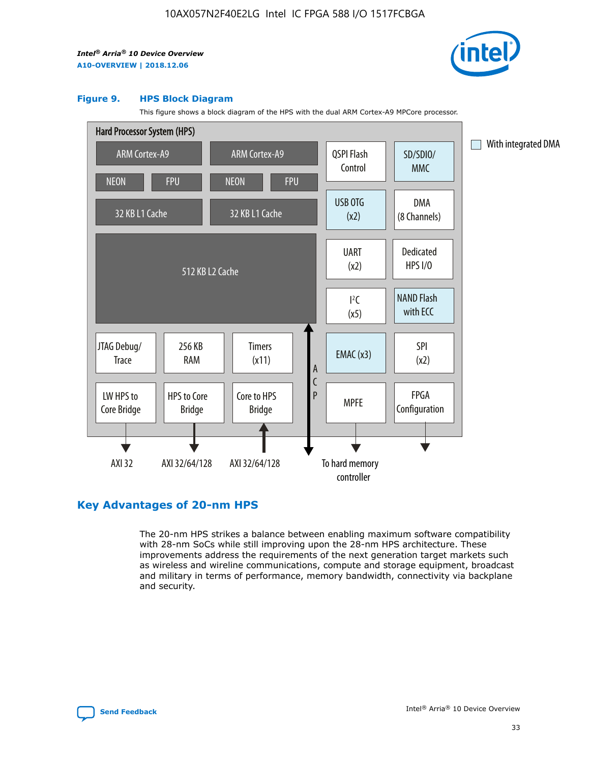

#### **Figure 9. HPS Block Diagram**

This figure shows a block diagram of the HPS with the dual ARM Cortex-A9 MPCore processor.



# **Key Advantages of 20-nm HPS**

The 20-nm HPS strikes a balance between enabling maximum software compatibility with 28-nm SoCs while still improving upon the 28-nm HPS architecture. These improvements address the requirements of the next generation target markets such as wireless and wireline communications, compute and storage equipment, broadcast and military in terms of performance, memory bandwidth, connectivity via backplane and security.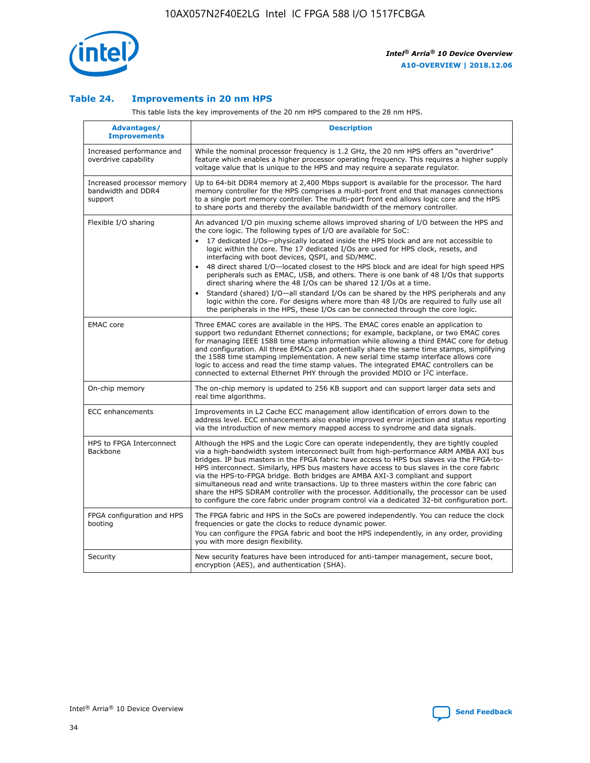

## **Table 24. Improvements in 20 nm HPS**

This table lists the key improvements of the 20 nm HPS compared to the 28 nm HPS.

| Advantages/<br><b>Improvements</b>                          | <b>Description</b>                                                                                                                                                                                                                                                                                                                                                                                                                                                                                                                                                                                                                                                                                                                                                                                                                                                                                                                   |
|-------------------------------------------------------------|--------------------------------------------------------------------------------------------------------------------------------------------------------------------------------------------------------------------------------------------------------------------------------------------------------------------------------------------------------------------------------------------------------------------------------------------------------------------------------------------------------------------------------------------------------------------------------------------------------------------------------------------------------------------------------------------------------------------------------------------------------------------------------------------------------------------------------------------------------------------------------------------------------------------------------------|
| Increased performance and<br>overdrive capability           | While the nominal processor frequency is 1.2 GHz, the 20 nm HPS offers an "overdrive"<br>feature which enables a higher processor operating frequency. This requires a higher supply<br>voltage value that is unique to the HPS and may require a separate requlator.                                                                                                                                                                                                                                                                                                                                                                                                                                                                                                                                                                                                                                                                |
| Increased processor memory<br>bandwidth and DDR4<br>support | Up to 64-bit DDR4 memory at 2,400 Mbps support is available for the processor. The hard<br>memory controller for the HPS comprises a multi-port front end that manages connections<br>to a single port memory controller. The multi-port front end allows logic core and the HPS<br>to share ports and thereby the available bandwidth of the memory controller.                                                                                                                                                                                                                                                                                                                                                                                                                                                                                                                                                                     |
| Flexible I/O sharing                                        | An advanced I/O pin muxing scheme allows improved sharing of I/O between the HPS and<br>the core logic. The following types of I/O are available for SoC:<br>17 dedicated I/Os-physically located inside the HPS block and are not accessible to<br>logic within the core. The 17 dedicated I/Os are used for HPS clock, resets, and<br>interfacing with boot devices, QSPI, and SD/MMC.<br>48 direct shared I/O-located closest to the HPS block and are ideal for high speed HPS<br>peripherals such as EMAC, USB, and others. There is one bank of 48 I/Os that supports<br>direct sharing where the 48 I/Os can be shared 12 I/Os at a time.<br>Standard (shared) I/O-all standard I/Os can be shared by the HPS peripherals and any<br>$\bullet$<br>logic within the core. For designs where more than 48 I/Os are required to fully use all<br>the peripherals in the HPS, these I/Os can be connected through the core logic. |
| <b>EMAC</b> core                                            | Three EMAC cores are available in the HPS. The EMAC cores enable an application to<br>support two redundant Ethernet connections; for example, backplane, or two EMAC cores<br>for managing IEEE 1588 time stamp information while allowing a third EMAC core for debug<br>and configuration. All three EMACs can potentially share the same time stamps, simplifying<br>the 1588 time stamping implementation. A new serial time stamp interface allows core<br>logic to access and read the time stamp values. The integrated EMAC controllers can be<br>connected to external Ethernet PHY through the provided MDIO or I <sup>2</sup> C interface.                                                                                                                                                                                                                                                                               |
| On-chip memory                                              | The on-chip memory is updated to 256 KB support and can support larger data sets and<br>real time algorithms.                                                                                                                                                                                                                                                                                                                                                                                                                                                                                                                                                                                                                                                                                                                                                                                                                        |
| <b>ECC</b> enhancements                                     | Improvements in L2 Cache ECC management allow identification of errors down to the<br>address level. ECC enhancements also enable improved error injection and status reporting<br>via the introduction of new memory mapped access to syndrome and data signals.                                                                                                                                                                                                                                                                                                                                                                                                                                                                                                                                                                                                                                                                    |
| HPS to FPGA Interconnect<br>Backbone                        | Although the HPS and the Logic Core can operate independently, they are tightly coupled<br>via a high-bandwidth system interconnect built from high-performance ARM AMBA AXI bus<br>bridges. IP bus masters in the FPGA fabric have access to HPS bus slaves via the FPGA-to-<br>HPS interconnect. Similarly, HPS bus masters have access to bus slaves in the core fabric<br>via the HPS-to-FPGA bridge. Both bridges are AMBA AXI-3 compliant and support<br>simultaneous read and write transactions. Up to three masters within the core fabric can<br>share the HPS SDRAM controller with the processor. Additionally, the processor can be used<br>to configure the core fabric under program control via a dedicated 32-bit configuration port.                                                                                                                                                                               |
| FPGA configuration and HPS<br>booting                       | The FPGA fabric and HPS in the SoCs are powered independently. You can reduce the clock<br>frequencies or gate the clocks to reduce dynamic power.<br>You can configure the FPGA fabric and boot the HPS independently, in any order, providing<br>you with more design flexibility.                                                                                                                                                                                                                                                                                                                                                                                                                                                                                                                                                                                                                                                 |
| Security                                                    | New security features have been introduced for anti-tamper management, secure boot,<br>encryption (AES), and authentication (SHA).                                                                                                                                                                                                                                                                                                                                                                                                                                                                                                                                                                                                                                                                                                                                                                                                   |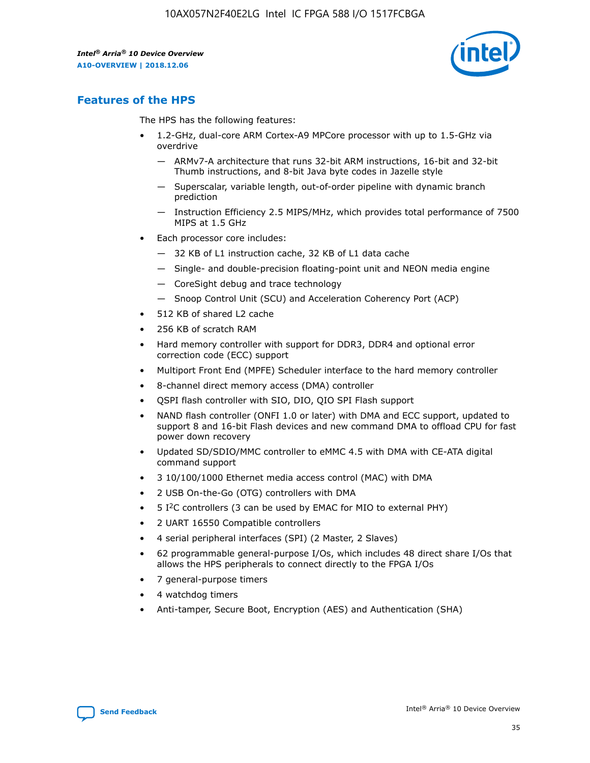

# **Features of the HPS**

The HPS has the following features:

- 1.2-GHz, dual-core ARM Cortex-A9 MPCore processor with up to 1.5-GHz via overdrive
	- ARMv7-A architecture that runs 32-bit ARM instructions, 16-bit and 32-bit Thumb instructions, and 8-bit Java byte codes in Jazelle style
	- Superscalar, variable length, out-of-order pipeline with dynamic branch prediction
	- Instruction Efficiency 2.5 MIPS/MHz, which provides total performance of 7500 MIPS at 1.5 GHz
- Each processor core includes:
	- 32 KB of L1 instruction cache, 32 KB of L1 data cache
	- Single- and double-precision floating-point unit and NEON media engine
	- CoreSight debug and trace technology
	- Snoop Control Unit (SCU) and Acceleration Coherency Port (ACP)
- 512 KB of shared L2 cache
- 256 KB of scratch RAM
- Hard memory controller with support for DDR3, DDR4 and optional error correction code (ECC) support
- Multiport Front End (MPFE) Scheduler interface to the hard memory controller
- 8-channel direct memory access (DMA) controller
- QSPI flash controller with SIO, DIO, QIO SPI Flash support
- NAND flash controller (ONFI 1.0 or later) with DMA and ECC support, updated to support 8 and 16-bit Flash devices and new command DMA to offload CPU for fast power down recovery
- Updated SD/SDIO/MMC controller to eMMC 4.5 with DMA with CE-ATA digital command support
- 3 10/100/1000 Ethernet media access control (MAC) with DMA
- 2 USB On-the-Go (OTG) controllers with DMA
- $\bullet$  5 I<sup>2</sup>C controllers (3 can be used by EMAC for MIO to external PHY)
- 2 UART 16550 Compatible controllers
- 4 serial peripheral interfaces (SPI) (2 Master, 2 Slaves)
- 62 programmable general-purpose I/Os, which includes 48 direct share I/Os that allows the HPS peripherals to connect directly to the FPGA I/Os
- 7 general-purpose timers
- 4 watchdog timers
- Anti-tamper, Secure Boot, Encryption (AES) and Authentication (SHA)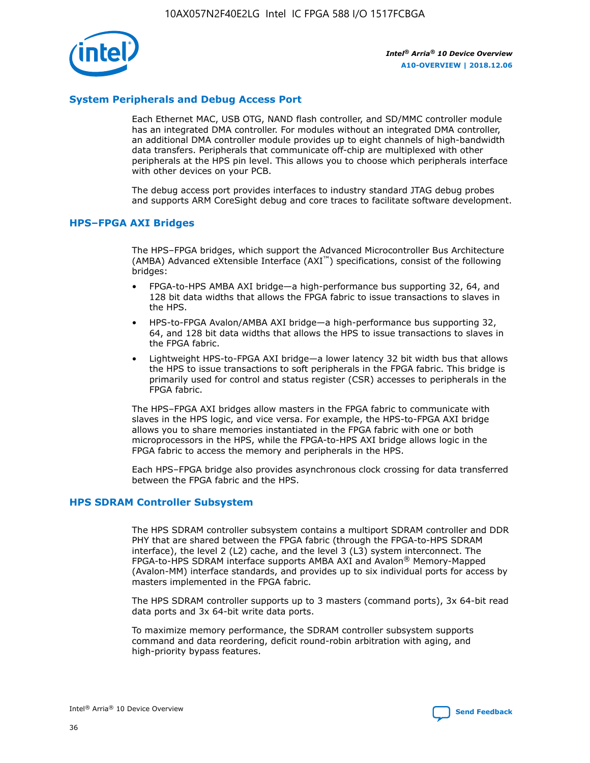

## **System Peripherals and Debug Access Port**

Each Ethernet MAC, USB OTG, NAND flash controller, and SD/MMC controller module has an integrated DMA controller. For modules without an integrated DMA controller, an additional DMA controller module provides up to eight channels of high-bandwidth data transfers. Peripherals that communicate off-chip are multiplexed with other peripherals at the HPS pin level. This allows you to choose which peripherals interface with other devices on your PCB.

The debug access port provides interfaces to industry standard JTAG debug probes and supports ARM CoreSight debug and core traces to facilitate software development.

## **HPS–FPGA AXI Bridges**

The HPS–FPGA bridges, which support the Advanced Microcontroller Bus Architecture (AMBA) Advanced eXtensible Interface (AXI™) specifications, consist of the following bridges:

- FPGA-to-HPS AMBA AXI bridge—a high-performance bus supporting 32, 64, and 128 bit data widths that allows the FPGA fabric to issue transactions to slaves in the HPS.
- HPS-to-FPGA Avalon/AMBA AXI bridge—a high-performance bus supporting 32, 64, and 128 bit data widths that allows the HPS to issue transactions to slaves in the FPGA fabric.
- Lightweight HPS-to-FPGA AXI bridge—a lower latency 32 bit width bus that allows the HPS to issue transactions to soft peripherals in the FPGA fabric. This bridge is primarily used for control and status register (CSR) accesses to peripherals in the FPGA fabric.

The HPS–FPGA AXI bridges allow masters in the FPGA fabric to communicate with slaves in the HPS logic, and vice versa. For example, the HPS-to-FPGA AXI bridge allows you to share memories instantiated in the FPGA fabric with one or both microprocessors in the HPS, while the FPGA-to-HPS AXI bridge allows logic in the FPGA fabric to access the memory and peripherals in the HPS.

Each HPS–FPGA bridge also provides asynchronous clock crossing for data transferred between the FPGA fabric and the HPS.

#### **HPS SDRAM Controller Subsystem**

The HPS SDRAM controller subsystem contains a multiport SDRAM controller and DDR PHY that are shared between the FPGA fabric (through the FPGA-to-HPS SDRAM interface), the level 2 (L2) cache, and the level 3 (L3) system interconnect. The FPGA-to-HPS SDRAM interface supports AMBA AXI and Avalon® Memory-Mapped (Avalon-MM) interface standards, and provides up to six individual ports for access by masters implemented in the FPGA fabric.

The HPS SDRAM controller supports up to 3 masters (command ports), 3x 64-bit read data ports and 3x 64-bit write data ports.

To maximize memory performance, the SDRAM controller subsystem supports command and data reordering, deficit round-robin arbitration with aging, and high-priority bypass features.

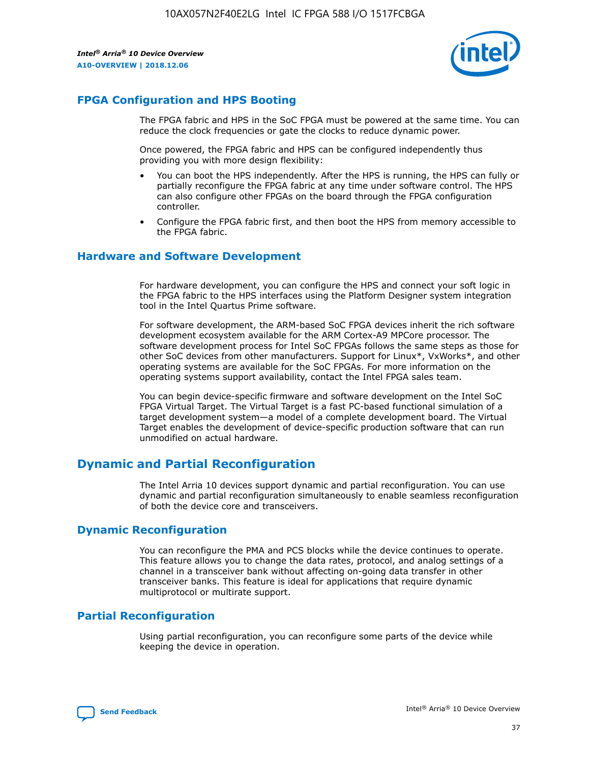

# **FPGA Configuration and HPS Booting**

The FPGA fabric and HPS in the SoC FPGA must be powered at the same time. You can reduce the clock frequencies or gate the clocks to reduce dynamic power.

Once powered, the FPGA fabric and HPS can be configured independently thus providing you with more design flexibility:

- You can boot the HPS independently. After the HPS is running, the HPS can fully or partially reconfigure the FPGA fabric at any time under software control. The HPS can also configure other FPGAs on the board through the FPGA configuration controller.
- Configure the FPGA fabric first, and then boot the HPS from memory accessible to the FPGA fabric.

## **Hardware and Software Development**

For hardware development, you can configure the HPS and connect your soft logic in the FPGA fabric to the HPS interfaces using the Platform Designer system integration tool in the Intel Quartus Prime software.

For software development, the ARM-based SoC FPGA devices inherit the rich software development ecosystem available for the ARM Cortex-A9 MPCore processor. The software development process for Intel SoC FPGAs follows the same steps as those for other SoC devices from other manufacturers. Support for Linux\*, VxWorks\*, and other operating systems are available for the SoC FPGAs. For more information on the operating systems support availability, contact the Intel FPGA sales team.

You can begin device-specific firmware and software development on the Intel SoC FPGA Virtual Target. The Virtual Target is a fast PC-based functional simulation of a target development system—a model of a complete development board. The Virtual Target enables the development of device-specific production software that can run unmodified on actual hardware.

# **Dynamic and Partial Reconfiguration**

The Intel Arria 10 devices support dynamic and partial reconfiguration. You can use dynamic and partial reconfiguration simultaneously to enable seamless reconfiguration of both the device core and transceivers.

# **Dynamic Reconfiguration**

You can reconfigure the PMA and PCS blocks while the device continues to operate. This feature allows you to change the data rates, protocol, and analog settings of a channel in a transceiver bank without affecting on-going data transfer in other transceiver banks. This feature is ideal for applications that require dynamic multiprotocol or multirate support.

# **Partial Reconfiguration**

Using partial reconfiguration, you can reconfigure some parts of the device while keeping the device in operation.

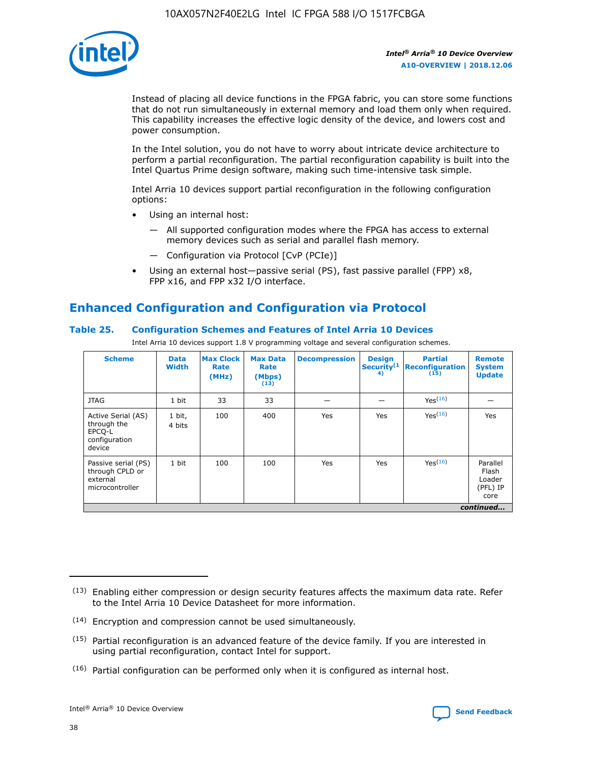

Instead of placing all device functions in the FPGA fabric, you can store some functions that do not run simultaneously in external memory and load them only when required. This capability increases the effective logic density of the device, and lowers cost and power consumption.

In the Intel solution, you do not have to worry about intricate device architecture to perform a partial reconfiguration. The partial reconfiguration capability is built into the Intel Quartus Prime design software, making such time-intensive task simple.

Intel Arria 10 devices support partial reconfiguration in the following configuration options:

- Using an internal host:
	- All supported configuration modes where the FPGA has access to external memory devices such as serial and parallel flash memory.
	- Configuration via Protocol [CvP (PCIe)]
- Using an external host—passive serial (PS), fast passive parallel (FPP) x8, FPP x16, and FPP x32 I/O interface.

# **Enhanced Configuration and Configuration via Protocol**

## **Table 25. Configuration Schemes and Features of Intel Arria 10 Devices**

Intel Arria 10 devices support 1.8 V programming voltage and several configuration schemes.

| <b>Scheme</b>                                                          | <b>Data</b><br><b>Width</b> | <b>Max Clock</b><br>Rate<br>(MHz) | <b>Max Data</b><br>Rate<br>(Mbps)<br>(13) | <b>Decompression</b> | <b>Design</b><br>Security <sup>(1</sup><br>4) | <b>Partial</b><br><b>Reconfiguration</b><br>(15) | <b>Remote</b><br><b>System</b><br><b>Update</b> |
|------------------------------------------------------------------------|-----------------------------|-----------------------------------|-------------------------------------------|----------------------|-----------------------------------------------|--------------------------------------------------|-------------------------------------------------|
| <b>JTAG</b>                                                            | 1 bit                       | 33                                | 33                                        |                      |                                               | Yes(16)                                          |                                                 |
| Active Serial (AS)<br>through the<br>EPCO-L<br>configuration<br>device | 1 bit,<br>4 bits            | 100                               | 400                                       | Yes                  | Yes                                           | $Y_{PS}(16)$                                     | Yes                                             |
| Passive serial (PS)<br>through CPLD or<br>external<br>microcontroller  | 1 bit                       | 100                               | 100                                       | Yes                  | Yes                                           | Yes(16)                                          | Parallel<br>Flash<br>Loader<br>(PFL) IP<br>core |
|                                                                        |                             |                                   |                                           |                      |                                               |                                                  | continued                                       |

<sup>(13)</sup> Enabling either compression or design security features affects the maximum data rate. Refer to the Intel Arria 10 Device Datasheet for more information.

<sup>(14)</sup> Encryption and compression cannot be used simultaneously.

 $(15)$  Partial reconfiguration is an advanced feature of the device family. If you are interested in using partial reconfiguration, contact Intel for support.

 $(16)$  Partial configuration can be performed only when it is configured as internal host.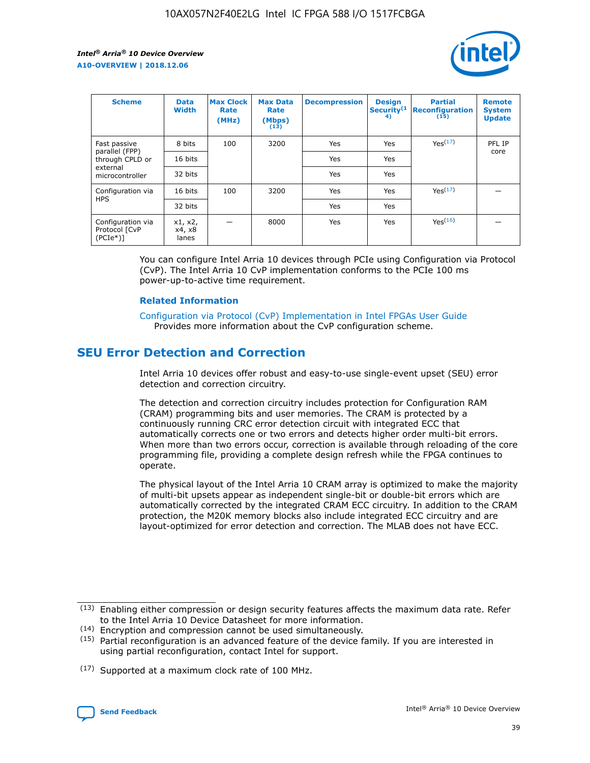

| <b>Scheme</b>                                    | <b>Data</b><br><b>Width</b> | <b>Max Clock</b><br>Rate<br>(MHz) | <b>Max Data</b><br>Rate<br>(Mbps)<br>(13) | <b>Decompression</b> | <b>Design</b><br>Security <sup>(1</sup><br>4) | <b>Partial</b><br><b>Reconfiguration</b><br>(15) | <b>Remote</b><br><b>System</b><br><b>Update</b> |
|--------------------------------------------------|-----------------------------|-----------------------------------|-------------------------------------------|----------------------|-----------------------------------------------|--------------------------------------------------|-------------------------------------------------|
| Fast passive                                     | 8 bits                      | 100                               | 3200                                      | Yes                  | Yes                                           | Yes(17)                                          | PFL IP                                          |
| parallel (FPP)<br>through CPLD or                | 16 bits                     |                                   |                                           | Yes                  | Yes                                           |                                                  | core                                            |
| external<br>microcontroller                      | 32 bits                     |                                   |                                           | Yes                  | Yes                                           |                                                  |                                                 |
| Configuration via                                | 16 bits                     | 100                               | 3200                                      | Yes                  | Yes                                           | Yes <sup>(17)</sup>                              |                                                 |
| <b>HPS</b>                                       | 32 bits                     |                                   |                                           | Yes                  | Yes                                           |                                                  |                                                 |
| Configuration via<br>Protocol [CvP<br>$(PCIe^*)$ | x1, x2,<br>x4, x8<br>lanes  |                                   | 8000                                      | Yes                  | Yes                                           | Yes(16)                                          |                                                 |

You can configure Intel Arria 10 devices through PCIe using Configuration via Protocol (CvP). The Intel Arria 10 CvP implementation conforms to the PCIe 100 ms power-up-to-active time requirement.

#### **Related Information**

[Configuration via Protocol \(CvP\) Implementation in Intel FPGAs User Guide](https://www.intel.com/content/www/us/en/programmable/documentation/dsu1441819344145.html#dsu1442269728522) Provides more information about the CvP configuration scheme.

# **SEU Error Detection and Correction**

Intel Arria 10 devices offer robust and easy-to-use single-event upset (SEU) error detection and correction circuitry.

The detection and correction circuitry includes protection for Configuration RAM (CRAM) programming bits and user memories. The CRAM is protected by a continuously running CRC error detection circuit with integrated ECC that automatically corrects one or two errors and detects higher order multi-bit errors. When more than two errors occur, correction is available through reloading of the core programming file, providing a complete design refresh while the FPGA continues to operate.

The physical layout of the Intel Arria 10 CRAM array is optimized to make the majority of multi-bit upsets appear as independent single-bit or double-bit errors which are automatically corrected by the integrated CRAM ECC circuitry. In addition to the CRAM protection, the M20K memory blocks also include integrated ECC circuitry and are layout-optimized for error detection and correction. The MLAB does not have ECC.

(14) Encryption and compression cannot be used simultaneously.

<sup>(17)</sup> Supported at a maximum clock rate of 100 MHz.



 $(13)$  Enabling either compression or design security features affects the maximum data rate. Refer to the Intel Arria 10 Device Datasheet for more information.

 $(15)$  Partial reconfiguration is an advanced feature of the device family. If you are interested in using partial reconfiguration, contact Intel for support.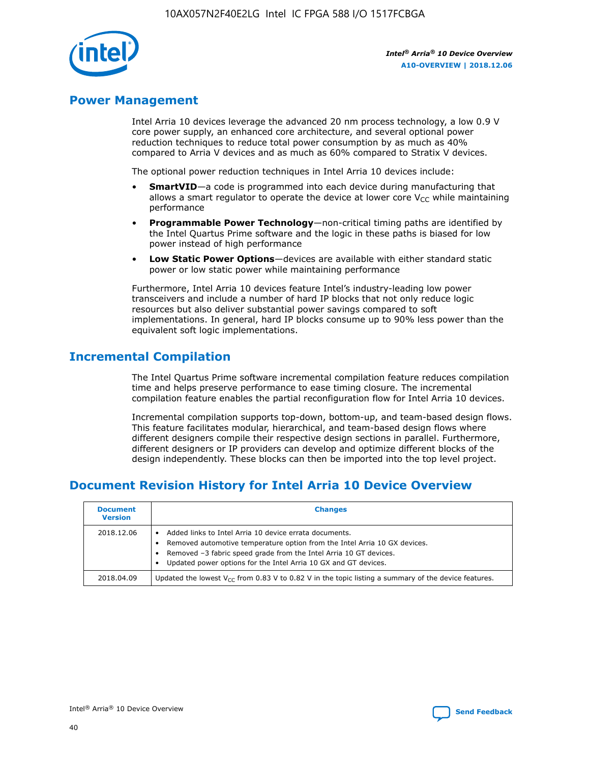

# **Power Management**

Intel Arria 10 devices leverage the advanced 20 nm process technology, a low 0.9 V core power supply, an enhanced core architecture, and several optional power reduction techniques to reduce total power consumption by as much as 40% compared to Arria V devices and as much as 60% compared to Stratix V devices.

The optional power reduction techniques in Intel Arria 10 devices include:

- **SmartVID**—a code is programmed into each device during manufacturing that allows a smart regulator to operate the device at lower core  $V_{CC}$  while maintaining performance
- **Programmable Power Technology**—non-critical timing paths are identified by the Intel Quartus Prime software and the logic in these paths is biased for low power instead of high performance
- **Low Static Power Options**—devices are available with either standard static power or low static power while maintaining performance

Furthermore, Intel Arria 10 devices feature Intel's industry-leading low power transceivers and include a number of hard IP blocks that not only reduce logic resources but also deliver substantial power savings compared to soft implementations. In general, hard IP blocks consume up to 90% less power than the equivalent soft logic implementations.

# **Incremental Compilation**

The Intel Quartus Prime software incremental compilation feature reduces compilation time and helps preserve performance to ease timing closure. The incremental compilation feature enables the partial reconfiguration flow for Intel Arria 10 devices.

Incremental compilation supports top-down, bottom-up, and team-based design flows. This feature facilitates modular, hierarchical, and team-based design flows where different designers compile their respective design sections in parallel. Furthermore, different designers or IP providers can develop and optimize different blocks of the design independently. These blocks can then be imported into the top level project.

# **Document Revision History for Intel Arria 10 Device Overview**

| <b>Document</b><br><b>Version</b> | <b>Changes</b>                                                                                                                                                                                                                                                              |
|-----------------------------------|-----------------------------------------------------------------------------------------------------------------------------------------------------------------------------------------------------------------------------------------------------------------------------|
| 2018.12.06                        | Added links to Intel Arria 10 device errata documents.<br>Removed automotive temperature option from the Intel Arria 10 GX devices.<br>Removed -3 fabric speed grade from the Intel Arria 10 GT devices.<br>Updated power options for the Intel Arria 10 GX and GT devices. |
| 2018.04.09                        | Updated the lowest $V_{CC}$ from 0.83 V to 0.82 V in the topic listing a summary of the device features.                                                                                                                                                                    |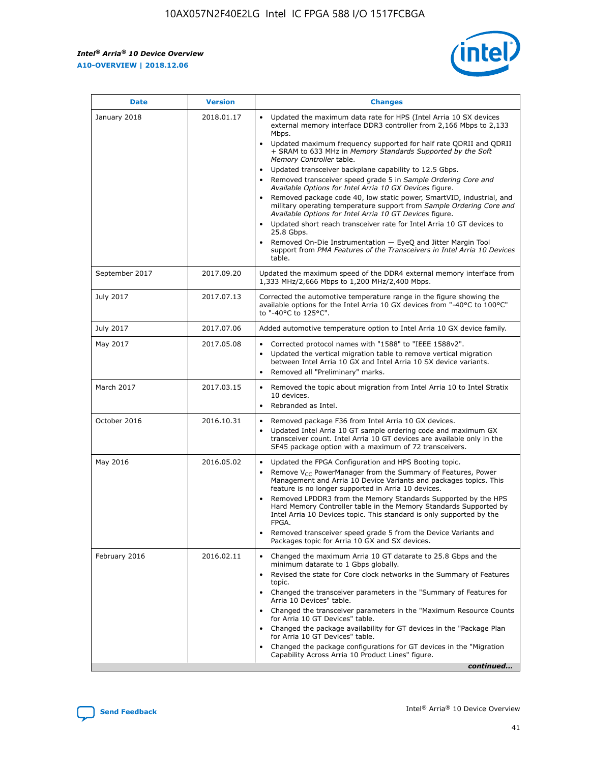

| <b>Date</b>    | <b>Version</b> | <b>Changes</b>                                                                                                                                                                                                                                                                                                                                                                                                                                                                                                                                                                                                                                                                                                                                                                                                                                                                                                                                               |
|----------------|----------------|--------------------------------------------------------------------------------------------------------------------------------------------------------------------------------------------------------------------------------------------------------------------------------------------------------------------------------------------------------------------------------------------------------------------------------------------------------------------------------------------------------------------------------------------------------------------------------------------------------------------------------------------------------------------------------------------------------------------------------------------------------------------------------------------------------------------------------------------------------------------------------------------------------------------------------------------------------------|
| January 2018   | 2018.01.17     | Updated the maximum data rate for HPS (Intel Arria 10 SX devices<br>external memory interface DDR3 controller from 2,166 Mbps to 2,133<br>Mbps.<br>Updated maximum frequency supported for half rate QDRII and QDRII<br>+ SRAM to 633 MHz in Memory Standards Supported by the Soft<br>Memory Controller table.<br>Updated transceiver backplane capability to 12.5 Gbps.<br>Removed transceiver speed grade 5 in Sample Ordering Core and<br>Available Options for Intel Arria 10 GX Devices figure.<br>Removed package code 40, low static power, SmartVID, industrial, and<br>military operating temperature support from Sample Ordering Core and<br>Available Options for Intel Arria 10 GT Devices figure.<br>Updated short reach transceiver rate for Intel Arria 10 GT devices to<br>25.8 Gbps.<br>Removed On-Die Instrumentation - EyeQ and Jitter Margin Tool<br>support from PMA Features of the Transceivers in Intel Arria 10 Devices<br>table. |
| September 2017 | 2017.09.20     | Updated the maximum speed of the DDR4 external memory interface from<br>1,333 MHz/2,666 Mbps to 1,200 MHz/2,400 Mbps.                                                                                                                                                                                                                                                                                                                                                                                                                                                                                                                                                                                                                                                                                                                                                                                                                                        |
| July 2017      | 2017.07.13     | Corrected the automotive temperature range in the figure showing the<br>available options for the Intel Arria 10 GX devices from "-40°C to 100°C"<br>to "-40°C to 125°C".                                                                                                                                                                                                                                                                                                                                                                                                                                                                                                                                                                                                                                                                                                                                                                                    |
| July 2017      | 2017.07.06     | Added automotive temperature option to Intel Arria 10 GX device family.                                                                                                                                                                                                                                                                                                                                                                                                                                                                                                                                                                                                                                                                                                                                                                                                                                                                                      |
| May 2017       | 2017.05.08     | Corrected protocol names with "1588" to "IEEE 1588v2".<br>$\bullet$<br>Updated the vertical migration table to remove vertical migration<br>$\bullet$<br>between Intel Arria 10 GX and Intel Arria 10 SX device variants.<br>Removed all "Preliminary" marks.<br>$\bullet$                                                                                                                                                                                                                                                                                                                                                                                                                                                                                                                                                                                                                                                                                   |
| March 2017     | 2017.03.15     | Removed the topic about migration from Intel Arria 10 to Intel Stratix<br>$\bullet$<br>10 devices.<br>Rebranded as Intel.<br>$\bullet$                                                                                                                                                                                                                                                                                                                                                                                                                                                                                                                                                                                                                                                                                                                                                                                                                       |
| October 2016   | 2016.10.31     | Removed package F36 from Intel Arria 10 GX devices.<br>Updated Intel Arria 10 GT sample ordering code and maximum GX<br>$\bullet$<br>transceiver count. Intel Arria 10 GT devices are available only in the<br>SF45 package option with a maximum of 72 transceivers.                                                                                                                                                                                                                                                                                                                                                                                                                                                                                                                                                                                                                                                                                        |
| May 2016       | 2016.05.02     | Updated the FPGA Configuration and HPS Booting topic.<br>$\bullet$<br>Remove V <sub>CC</sub> PowerManager from the Summary of Features, Power<br>Management and Arria 10 Device Variants and packages topics. This<br>feature is no longer supported in Arria 10 devices.<br>Removed LPDDR3 from the Memory Standards Supported by the HPS<br>Hard Memory Controller table in the Memory Standards Supported by<br>Intel Arria 10 Devices topic. This standard is only supported by the<br><b>FPGA</b><br>Removed transceiver speed grade 5 from the Device Variants and<br>Packages topic for Arria 10 GX and SX devices.                                                                                                                                                                                                                                                                                                                                   |
| February 2016  | 2016.02.11     | Changed the maximum Arria 10 GT datarate to 25.8 Gbps and the<br>$\bullet$<br>minimum datarate to 1 Gbps globally.<br>Revised the state for Core clock networks in the Summary of Features<br>$\bullet$<br>topic.<br>Changed the transceiver parameters in the "Summary of Features for<br>$\bullet$<br>Arria 10 Devices" table.<br>Changed the transceiver parameters in the "Maximum Resource Counts<br>for Arria 10 GT Devices" table.<br>Changed the package availability for GT devices in the "Package Plan<br>for Arria 10 GT Devices" table.<br>Changed the package configurations for GT devices in the "Migration"<br>Capability Across Arria 10 Product Lines" figure.<br>continued                                                                                                                                                                                                                                                               |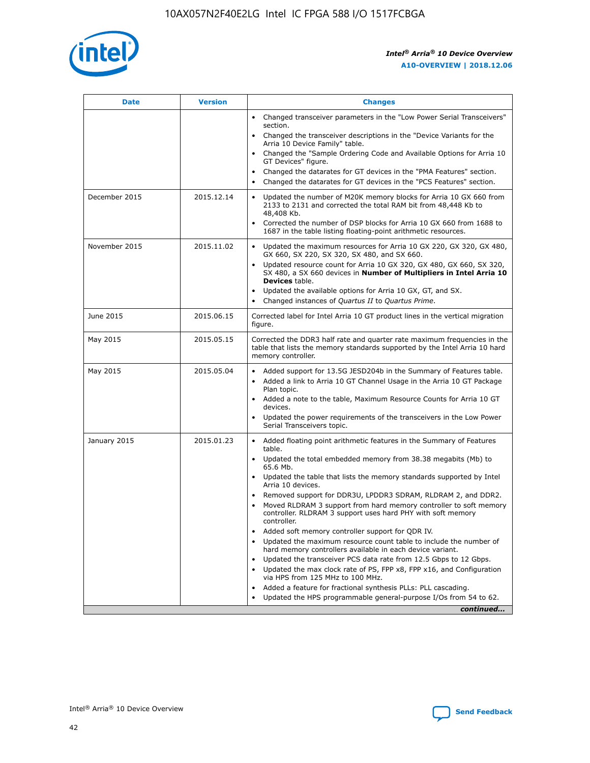

| <b>Date</b>   | <b>Version</b> | <b>Changes</b>                                                                                                                                                               |
|---------------|----------------|------------------------------------------------------------------------------------------------------------------------------------------------------------------------------|
|               |                | • Changed transceiver parameters in the "Low Power Serial Transceivers"<br>section.                                                                                          |
|               |                | • Changed the transceiver descriptions in the "Device Variants for the<br>Arria 10 Device Family" table.                                                                     |
|               |                | Changed the "Sample Ordering Code and Available Options for Arria 10<br>$\bullet$<br>GT Devices" figure.                                                                     |
|               |                | Changed the datarates for GT devices in the "PMA Features" section.                                                                                                          |
|               |                | Changed the datarates for GT devices in the "PCS Features" section.<br>$\bullet$                                                                                             |
| December 2015 | 2015.12.14     | Updated the number of M20K memory blocks for Arria 10 GX 660 from<br>2133 to 2131 and corrected the total RAM bit from 48,448 Kb to<br>48,408 Kb.                            |
|               |                | Corrected the number of DSP blocks for Arria 10 GX 660 from 1688 to<br>1687 in the table listing floating-point arithmetic resources.                                        |
| November 2015 | 2015.11.02     | Updated the maximum resources for Arria 10 GX 220, GX 320, GX 480,<br>$\bullet$<br>GX 660, SX 220, SX 320, SX 480, and SX 660.                                               |
|               |                | • Updated resource count for Arria 10 GX 320, GX 480, GX 660, SX 320,<br>SX 480, a SX 660 devices in Number of Multipliers in Intel Arria 10<br><b>Devices</b> table.        |
|               |                | Updated the available options for Arria 10 GX, GT, and SX.                                                                                                                   |
|               |                | Changed instances of Quartus II to Quartus Prime.<br>$\bullet$                                                                                                               |
| June 2015     | 2015.06.15     | Corrected label for Intel Arria 10 GT product lines in the vertical migration<br>figure.                                                                                     |
| May 2015      | 2015.05.15     | Corrected the DDR3 half rate and quarter rate maximum frequencies in the<br>table that lists the memory standards supported by the Intel Arria 10 hard<br>memory controller. |
| May 2015      | 2015.05.04     | • Added support for 13.5G JESD204b in the Summary of Features table.<br>• Added a link to Arria 10 GT Channel Usage in the Arria 10 GT Package<br>Plan topic.                |
|               |                | • Added a note to the table, Maximum Resource Counts for Arria 10 GT<br>devices.                                                                                             |
|               |                | • Updated the power requirements of the transceivers in the Low Power<br>Serial Transceivers topic.                                                                          |
| January 2015  | 2015.01.23     | • Added floating point arithmetic features in the Summary of Features<br>table.                                                                                              |
|               |                | • Updated the total embedded memory from 38.38 megabits (Mb) to<br>65.6 Mb.                                                                                                  |
|               |                | • Updated the table that lists the memory standards supported by Intel<br>Arria 10 devices.                                                                                  |
|               |                | Removed support for DDR3U, LPDDR3 SDRAM, RLDRAM 2, and DDR2.                                                                                                                 |
|               |                | Moved RLDRAM 3 support from hard memory controller to soft memory<br>controller. RLDRAM 3 support uses hard PHY with soft memory<br>controller.                              |
|               |                | Added soft memory controller support for QDR IV.<br>٠                                                                                                                        |
|               |                | Updated the maximum resource count table to include the number of<br>hard memory controllers available in each device variant.                                               |
|               |                | Updated the transceiver PCS data rate from 12.5 Gbps to 12 Gbps.<br>$\bullet$                                                                                                |
|               |                | Updated the max clock rate of PS, FPP x8, FPP x16, and Configuration<br>via HPS from 125 MHz to 100 MHz.                                                                     |
|               |                | Added a feature for fractional synthesis PLLs: PLL cascading.                                                                                                                |
|               |                | Updated the HPS programmable general-purpose I/Os from 54 to 62.<br>$\bullet$<br>continued                                                                                   |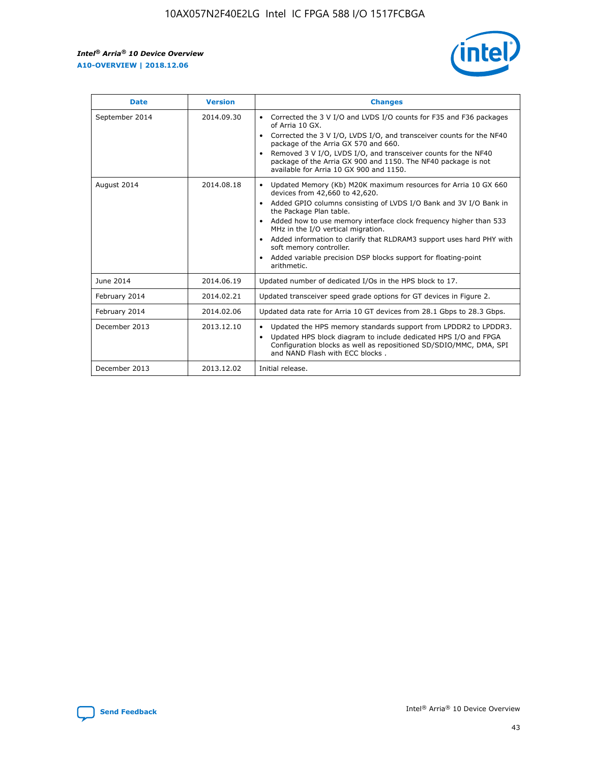r



| <b>Date</b>    | <b>Version</b> | <b>Changes</b>                                                                                                                                                                                                                                                                                                                                                                                                                                                                                                                                      |
|----------------|----------------|-----------------------------------------------------------------------------------------------------------------------------------------------------------------------------------------------------------------------------------------------------------------------------------------------------------------------------------------------------------------------------------------------------------------------------------------------------------------------------------------------------------------------------------------------------|
| September 2014 | 2014.09.30     | Corrected the 3 V I/O and LVDS I/O counts for F35 and F36 packages<br>$\bullet$<br>of Arria 10 GX.<br>Corrected the 3 V I/O, LVDS I/O, and transceiver counts for the NF40<br>$\bullet$<br>package of the Arria GX 570 and 660.<br>Removed 3 V I/O, LVDS I/O, and transceiver counts for the NF40<br>$\bullet$<br>package of the Arria GX 900 and 1150. The NF40 package is not<br>available for Arria 10 GX 900 and 1150.                                                                                                                          |
| August 2014    | 2014.08.18     | Updated Memory (Kb) M20K maximum resources for Arria 10 GX 660<br>devices from 42,660 to 42,620.<br>Added GPIO columns consisting of LVDS I/O Bank and 3V I/O Bank in<br>$\bullet$<br>the Package Plan table.<br>Added how to use memory interface clock frequency higher than 533<br>$\bullet$<br>MHz in the I/O vertical migration.<br>Added information to clarify that RLDRAM3 support uses hard PHY with<br>$\bullet$<br>soft memory controller.<br>Added variable precision DSP blocks support for floating-point<br>$\bullet$<br>arithmetic. |
| June 2014      | 2014.06.19     | Updated number of dedicated I/Os in the HPS block to 17.                                                                                                                                                                                                                                                                                                                                                                                                                                                                                            |
| February 2014  | 2014.02.21     | Updated transceiver speed grade options for GT devices in Figure 2.                                                                                                                                                                                                                                                                                                                                                                                                                                                                                 |
| February 2014  | 2014.02.06     | Updated data rate for Arria 10 GT devices from 28.1 Gbps to 28.3 Gbps.                                                                                                                                                                                                                                                                                                                                                                                                                                                                              |
| December 2013  | 2013.12.10     | Updated the HPS memory standards support from LPDDR2 to LPDDR3.<br>Updated HPS block diagram to include dedicated HPS I/O and FPGA<br>$\bullet$<br>Configuration blocks as well as repositioned SD/SDIO/MMC, DMA, SPI<br>and NAND Flash with ECC blocks.                                                                                                                                                                                                                                                                                            |
| December 2013  | 2013.12.02     | Initial release.                                                                                                                                                                                                                                                                                                                                                                                                                                                                                                                                    |